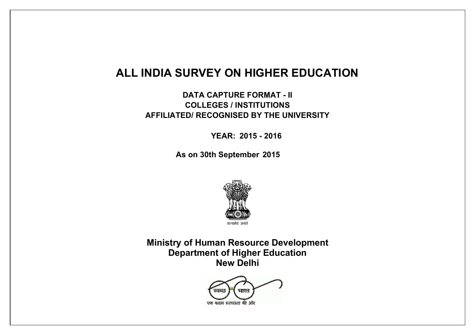# **ALL INDIA SURVEY ON HIGHER EDUCATION**

**DATA CAPTURE FORMAT - II COLLEGES / INSTITUTIONS AFFILIATED/ RECOGNISED BY THE UNIVERSITY** 

 **YEAR: 2015 - 2016**

 **As on 30th September 2015**



**Ministry of Human Resource Development Department of Higher Education New Delhi**

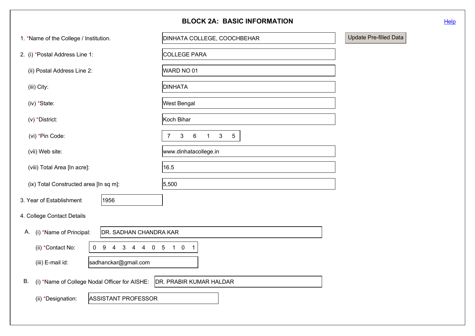|                                                         | <b>BLOCK 2A: BASIC INFORMATION</b>                                               | Help                   |
|---------------------------------------------------------|----------------------------------------------------------------------------------|------------------------|
| 1. *Name of the College / Institution.                  | DINHATA COLLEGE, COOCHBEHAR                                                      | Update Pre-filled Data |
| 2. (i) *Postal Address Line 1:                          | COLLEGE PARA                                                                     |                        |
| (ii) Postal Address Line 2:                             | WARD NO 01                                                                       |                        |
| (iii) City:                                             | <b>DINHATA</b>                                                                   |                        |
| (iv) *State:                                            | West Bengal                                                                      |                        |
| $(v)$ *District:                                        | Koch Bihar                                                                       |                        |
| (vi) *Pin Code:                                         | $6\phantom{.}6$<br>3 <sup>1</sup><br>3<br>$5\overline{)}$<br>$\overline{7}$<br>1 |                        |
| (vii) Web site:                                         | www.dinhatacollege.in                                                            |                        |
| (viii) Total Area [In acre]:                            | 16.5                                                                             |                        |
| (ix) Total Constructed area [In sq m]:                  | 5,500                                                                            |                        |
| 3. Year of Establishment<br>1956                        |                                                                                  |                        |
| 4. College Contact Details                              |                                                                                  |                        |
| (i) *Name of Principal:<br>DR. SADHAN CHANDRA KAR<br>Α. |                                                                                  |                        |
| (ii) *Contact No:<br>4 3 4 4 0 5 1 0 1<br>$0 \quad 9$   |                                                                                  |                        |
| sadhanckar@gmail.com<br>(iii) E-mail id:                |                                                                                  |                        |
| В.<br>(i) *Name of College Nodal Officer for AISHE:     | DR. PRABIR KUMAR HALDAR                                                          |                        |
| ASSISTANT PROFESSOR<br>(ii) *Designation:               |                                                                                  |                        |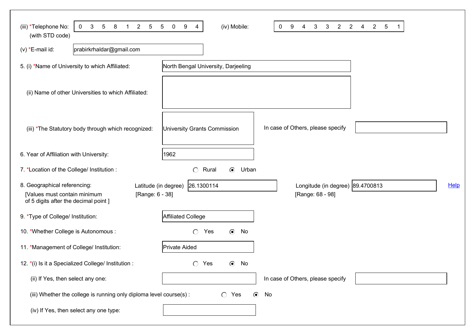| 3<br>$5\phantom{.0}$<br>8<br>$\overline{2}$<br>(iii) *Telephone No:<br>$\mathbf 0$<br>$\overline{5}$<br>$\mathbf 1$<br>(with STD code) | $\overline{5}$<br>9<br>(iv) Mobile:<br>$\mathbf 0$<br>4 | 9<br>3<br>$\overline{2}$<br>$\overline{2}$<br>0<br>3<br>4 | $\overline{2}$<br>$\sqrt{5}$<br>4 |      |
|----------------------------------------------------------------------------------------------------------------------------------------|---------------------------------------------------------|-----------------------------------------------------------|-----------------------------------|------|
| prabirkrhaldar@gmail.com<br>$(v) * E$ -mail id:                                                                                        |                                                         |                                                           |                                   |      |
| 5. (i) *Name of University to which Affiliated:                                                                                        | North Bengal University, Darjeeling                     |                                                           |                                   |      |
| (ii) Name of other Universities to which Affiliated:                                                                                   |                                                         |                                                           |                                   |      |
| (iii) *The Statutory body through which recognized:                                                                                    | University Grants Commission                            | In case of Others, please specify                         |                                   |      |
| 6. Year of Affiliation with University:                                                                                                | 1962                                                    |                                                           |                                   |      |
| 7. *Location of the College/ Institution :                                                                                             | Urban<br>$\circ$<br>Rural<br>$\odot$                    |                                                           |                                   |      |
| 8. Geographical referencing:<br>[Values must contain minimum<br>[Range: 6 - 38]<br>of 5 digits after the decimal point ]               | 26.1300114<br>Latitude (in degree)                      | Longitude (in degree) 89.4700813<br>[Range: 68 - 98]      |                                   | Help |
| 9. *Type of College/ Institution:                                                                                                      | Affiliated College                                      |                                                           |                                   |      |
| 10. *Whether College is Autonomous :                                                                                                   | $\bigcirc$<br>$\odot$<br>Yes<br>No                      |                                                           |                                   |      |
| 11. *Management of College/ Institution:                                                                                               | Private Aided                                           |                                                           |                                   |      |
| 12. *(i) Is it a Specialized College/ Institution :                                                                                    | $\circ$<br>Yes<br>⊙<br>No                               |                                                           |                                   |      |
| (ii) If Yes, then select any one:                                                                                                      |                                                         | In case of Others, please specify                         |                                   |      |
| (iii) Whether the college is running only diploma level course(s):                                                                     | $\bigcirc$ Yes<br>$\odot$                               | No                                                        |                                   |      |
| (iv) If Yes, then select any one type:                                                                                                 |                                                         |                                                           |                                   |      |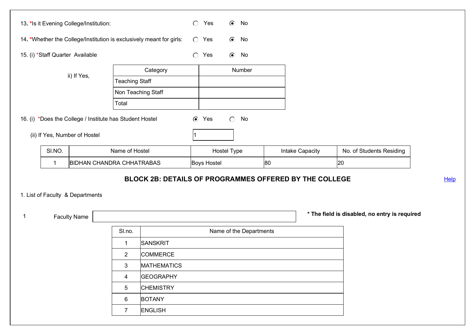|   |        | 13. *Is it Evening College/Institution:                  |                       |                                                                      | $\circ$    | Yes            |             | $\odot$ No |                         |    |                        |                                               |      |
|---|--------|----------------------------------------------------------|-----------------------|----------------------------------------------------------------------|------------|----------------|-------------|------------|-------------------------|----|------------------------|-----------------------------------------------|------|
|   |        |                                                          |                       | 14. *Whether the College/Institution is exclusively meant for girls: |            | $\bigcirc$ Yes |             | $\odot$ No |                         |    |                        |                                               |      |
|   |        | 15. (i) *Staff Quarter Available                         |                       |                                                                      | $\bigcirc$ | Yes            | $\odot$     | No         |                         |    |                        |                                               |      |
|   |        |                                                          |                       | Category                                                             |            |                |             | Number     |                         |    |                        |                                               |      |
|   |        | ii) If Yes,                                              | <b>Teaching Staff</b> |                                                                      |            |                |             |            |                         |    |                        |                                               |      |
|   |        |                                                          |                       | Non Teaching Staff                                                   |            |                |             |            |                         |    |                        |                                               |      |
|   |        |                                                          | Total                 |                                                                      |            |                |             |            |                         |    |                        |                                               |      |
|   |        | 16. (i) *Does the College / Institute has Student Hostel |                       |                                                                      | $\odot$    | Yes            | $\circ$     | No         |                         |    |                        |                                               |      |
|   |        | (ii) If Yes, Number of Hostel                            |                       |                                                                      | 11         |                |             |            |                         |    |                        |                                               |      |
|   | SI.NO. |                                                          | Name of Hostel        |                                                                      |            |                | Hostel Type |            |                         |    | <b>Intake Capacity</b> | No. of Students Residing                      |      |
|   |        |                                                          |                       |                                                                      |            |                |             |            |                         |    |                        |                                               |      |
|   | 1      | <b>BIDHAN CHANDRA CHHATRABAS</b>                         |                       |                                                                      |            | Boys Hostel    |             |            |                         | 80 |                        | 20                                            |      |
|   |        |                                                          |                       | <b>BLOCK 2B: DETAILS OF PROGRAMMES OFFERED BY THE COLLEGE</b>        |            |                |             |            |                         |    |                        |                                               | Help |
|   |        | 1. List of Faculty & Departments                         |                       |                                                                      |            |                |             |            |                         |    |                        |                                               |      |
|   |        |                                                          |                       |                                                                      |            |                |             |            |                         |    |                        |                                               |      |
| 1 |        | <b>Faculty Name</b>                                      |                       |                                                                      |            |                |             |            |                         |    |                        | * The field is disabled, no entry is required |      |
|   |        |                                                          | SI.no.                |                                                                      |            |                |             |            | Name of the Departments |    |                        |                                               |      |
|   |        |                                                          | $\mathbf{1}$          | SANSKRIT                                                             |            |                |             |            |                         |    |                        |                                               |      |
|   |        |                                                          | $\overline{2}$        | <b>COMMERCE</b>                                                      |            |                |             |            |                         |    |                        |                                               |      |
|   |        |                                                          | 3                     | <b>MATHEMATICS</b>                                                   |            |                |             |            |                         |    |                        |                                               |      |
|   |        |                                                          | $\overline{4}$        | <b>GEOGRAPHY</b>                                                     |            |                |             |            |                         |    |                        |                                               |      |
|   |        |                                                          | 5                     | <b>CHEMISTRY</b>                                                     |            |                |             |            |                         |    |                        |                                               |      |
|   |        |                                                          | 6                     | <b>BOTANY</b>                                                        |            |                |             |            |                         |    |                        |                                               |      |
|   |        |                                                          | $\overline{7}$        | <b>ENGLISH</b>                                                       |            |                |             |            |                         |    |                        |                                               |      |
|   |        |                                                          |                       |                                                                      |            |                |             |            |                         |    |                        |                                               |      |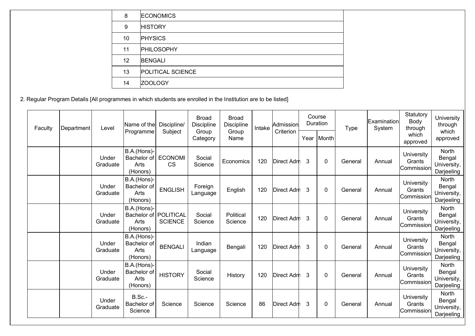| 8  | <b>ECONOMICS</b>  |
|----|-------------------|
| 9  | <b>HISTORY</b>    |
| 10 | <b>PHYSICS</b>    |
| 11 | <b>PHILOSOPHY</b> |
| 12 | <b>BENGALI</b>    |
| 13 | POLITICAL SCIENCE |
| 14 | <b>ZOOLOGY</b>    |

2. Regular Program Details [All programmes in which students are enrolled in the Institution are to be listed]

| Faculty | Department | Level             | Name of the<br>Programme                       | Discipline/<br>Subject             | <b>Broad</b><br><b>Discipline</b><br>Group | <b>Broad</b><br><b>Discipline</b><br>Group | Intake | Admissionl<br>Criterion |   | Course<br>Duration | <b>Type</b> | <b>IExamination</b><br>System | Statutory<br>Body<br>through        | University<br>through<br>which                      |
|---------|------------|-------------------|------------------------------------------------|------------------------------------|--------------------------------------------|--------------------------------------------|--------|-------------------------|---|--------------------|-------------|-------------------------------|-------------------------------------|-----------------------------------------------------|
|         |            |                   |                                                |                                    | Category                                   | Name                                       |        |                         |   | Year   Month       |             |                               | which<br>approved                   | approved                                            |
|         |            | Under<br>Graduate | B.A.(Hons)-<br>Bachelor of<br>Arts<br>(Honors) | <b>ECONOMI</b><br><b>CS</b>        | Social<br>Science                          | Economics                                  | 120    | Direct Adm              | 3 | $\mathbf{0}$       | General     | Annual                        | University<br>Grants<br>Commission  | <b>North</b><br>Bengal<br>University,<br>Darjeeling |
|         |            | Under<br>Graduate | B.A.(Hons)-<br>Bachelor of<br>Arts<br>(Honors) | <b>ENGLISH</b>                     | Foreign<br>Language                        | English                                    | 120    | Direct Adm              | 3 | 0                  | General     | Annual                        | University<br>Grants<br>lCommission | <b>North</b><br>Bengal<br>University,<br>Darjeeling |
|         |            | Under<br>Graduate | B.A.(Hons)-<br>Bachelor of<br>Arts<br>(Honors) | <b>POLITICAL</b><br><b>SCIENCE</b> | Social<br>Science                          | Political<br>Science                       | 120    | Direct Adm              | 3 | 0                  | General     | Annual                        | University<br>Grants<br>Commission  | <b>North</b><br>Bengal<br>University,<br>Darjeeling |
|         |            | Under<br>Graduate | B.A.(Hons)-<br>Bachelor of<br>Arts<br>(Honors) | <b>BENGALI</b>                     | Indian<br>Language                         | Bengali                                    | 120    | Direct Adm              | 3 | $\mathbf{0}$       | General     | Annual                        | University<br>Grants<br>Commission  | <b>North</b><br>Bengal<br>University,<br>Darjeeling |
|         |            | Under<br>Graduate | B.A.(Hons)-<br>Bachelor of<br>Arts<br>(Honors) | <b>HISTORY</b>                     | Social<br>Science                          | History                                    | 120    | Direct Adm              | 3 | 0                  | General     | Annual                        | University<br>Grants<br>Commission  | <b>North</b><br>Bengal<br>University,<br>Darjeeling |
|         |            | Under<br>Graduate | B.Sc.-<br>Bachelor of<br>Science               | Science                            | Science                                    | Science                                    | 86     | Direct Adm              | 3 | $\Omega$           | General     | Annual                        | University<br>Grants<br>Commission  | <b>North</b><br>Bengal<br>University,<br>Darjeeling |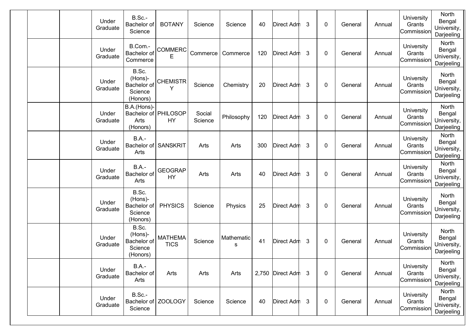|  | Under<br>Graduate | B.Sc.-<br>Bachelor of<br>Science                        | <b>BOTANY</b>                 | Science           | Science         | 40  | Direct Adm       | 3            | 0           | General | Annual | University<br>Grants<br>Commission | North<br>Bengal<br>University,<br>Darjeeling |
|--|-------------------|---------------------------------------------------------|-------------------------------|-------------------|-----------------|-----|------------------|--------------|-------------|---------|--------|------------------------------------|----------------------------------------------|
|  | Under<br>Graduate | B.Com.-<br>Bachelor of<br>Commerce                      | <b>COMMERC</b><br>E           | Commerce          | Commerce        | 120 | Direct Adm       | 3            | $\mathbf 0$ | General | Annual | University<br>Grants<br>Commission | North<br>Bengal<br>University,<br>Darjeeling |
|  | Under<br>Graduate | B.Sc.<br>(Hons)-<br>Bachelor of<br>Science<br>(Honors)  | <b>CHEMISTR</b><br>Υ          | Science           | Chemistry       | 20  | Direct Adm       | 3            | 0           | General | Annual | University<br>Grants<br>Commission | North<br>Bengal<br>University,<br>Darjeeling |
|  | Under<br>Graduate | B.A.(Hons)-<br>Bachelor of PHILOSOP<br>Arts<br>(Honors) | <b>HY</b>                     | Social<br>Science | Philosophy      | 120 | Direct Adm       | 3            | 0           | General | Annual | University<br>Grants<br>Commission | North<br>Bengal<br>University,<br>Darjeeling |
|  | Under<br>Graduate | $B.A. -$<br>Bachelor of<br>Arts                         | SANSKRIT                      | Arts              | Arts            | 300 | Direct Adm       | 3            | $\mathbf 0$ | General | Annual | University<br>Grants<br>Commission | North<br>Bengal<br>University,<br>Darjeeling |
|  | Under<br>Graduate | <b>B.A.-</b><br>Bachelor of<br>Arts                     | <b>GEOGRAP</b><br><b>HY</b>   | Arts              | Arts            | 40  | Direct Adm       | 3            | 0           | General | Annual | University<br>Grants<br>Commission | North<br>Bengal<br>University,<br>Darjeeling |
|  | Under<br>Graduate | B.Sc.<br>(Hons)-<br>Bachelor of<br>Science<br>(Honors)  | <b>PHYSICS</b>                | Science           | Physics         | 25  | Direct Adm       | 3            | 0           | General | Annual | University<br>Grants<br>Commission | North<br>Bengal<br>University,<br>Darjeeling |
|  | Under<br>Graduate | B.Sc.<br>(Hons)-<br>Bachelor of<br>Science<br>(Honors)  | <b>MATHEMA</b><br><b>TICS</b> | Science           | Mathematic<br>s | 41  | Direct Adm       | 3            | 0           | General | Annual | University<br>Grants<br>Commission | North<br>Bengal<br>University,<br>Darjeeling |
|  | Under<br>Graduate | <b>B.A.-</b><br>Bachelor of<br>Arts                     | Arts                          | Arts              | Arts            |     | 2,750 Direct Adm | -3           | $\mathbf 0$ | General | Annual | University<br>Grants<br>Commission | North<br>Bengal<br>University,<br>Darjeeling |
|  | Under<br>Graduate | B.Sc.-<br>Science                                       | Bachelor of ZOOLOGY           | Science           | Science         | 40  | Direct Adm       | $\mathbf{3}$ | 0           | General | Annual | University<br>Grants<br>Commission | North<br>Bengal<br>University,<br>Darjeeling |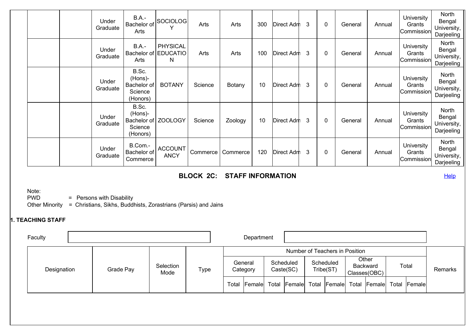|  | Under<br>Graduate | <b>B.A.-</b><br>Bachelor of<br>Arts                    | SOCIOLOG                                     | Arts     | Arts     | 300 | Direct Adm | 3 | $\Omega$ | General | Annual | University<br>Grants<br>Commission | North<br>Bengal<br>University,<br>Darjeeling |
|--|-------------------|--------------------------------------------------------|----------------------------------------------|----------|----------|-----|------------|---|----------|---------|--------|------------------------------------|----------------------------------------------|
|  | Under<br>Graduate | $B.A. -$<br>Arts                                       | <b>PHYSICAL</b><br>Bachelor of EDUCATIO<br>N | Arts     | Arts     | 100 | Direct Adm | 3 | 0        | General | Annual | University<br>Grants<br>Commission | North<br>Bengal<br>University,<br>Darjeeling |
|  | Under<br>Graduate | B.Sc.<br>(Hons)-<br>Bachelor of<br>Science<br>(Honors) | <b>BOTANY</b>                                | Science  | Botany   | 10  | Direct Adm | 3 | 0        | General | Annual | University<br>Grants<br>Commission | North<br>Bengal<br>University,<br>Darjeeling |
|  | Under<br>Graduate | B.Sc.<br>(Hons)-<br>Bachelor of<br>Science<br>(Honors) | <b>ZOOLOGY</b>                               | Science  | Zoology  | 10  | Direct Adm | 3 | 0        | General | Annual | University<br>Grants<br>Commission | North<br>Bengal<br>University,<br>Darjeeling |
|  | Under<br>Graduate | B.Com.-<br>Bachelor of<br>Commerce                     | <b>ACCOUNT</b><br><b>ANCY</b>                | Commerce | Commerce | 120 | Direct Adm | 3 | 0        | General | Annual | University<br>Grants<br>Commission | North<br>Bengal<br>University,<br>Darjeeling |

## **BLOCK 2C: STAFF INFORMATION**

**Help** 

Note:

PWD = Persons with Disability

Other Minority = Christians, Sikhs, Buddhists, Zorastrians (Parsis) and Jains

## **1. TEACHING STAFF**

| Faculty     |           |                   |      | Department                |                        |                                |                 |                       |                            |         |
|-------------|-----------|-------------------|------|---------------------------|------------------------|--------------------------------|-----------------|-----------------------|----------------------------|---------|
|             |           |                   |      |                           |                        | Number of Teachers in Position |                 |                       |                            |         |
| Designation | Grade Pay | Selection<br>Mode | Type | General<br>Category       | Scheduled<br>Caste(SC) | Scheduled<br>Tribe(ST)         | <b>Backward</b> | Other<br>Classes(OBC) | Total                      | Remarks |
|             |           |                   |      | Total Female Total Female |                        | Total Female Total             |                 |                       | <b>Female Total Female</b> |         |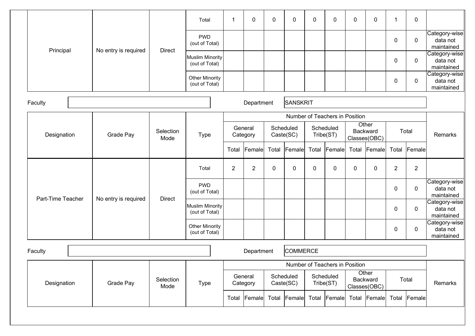|                   |                      |                   | Total                                    | $\mathbf 1$    | 0                   | $\mathbf 0$ | 0                      | 0     | 0                              | $\mathbf 0$  | $\mathbf 0$                       | 1              | $\mathbf 0$    |                                         |
|-------------------|----------------------|-------------------|------------------------------------------|----------------|---------------------|-------------|------------------------|-------|--------------------------------|--------------|-----------------------------------|----------------|----------------|-----------------------------------------|
|                   |                      | <b>Direct</b>     | <b>PWD</b><br>(out of Total)             |                |                     |             |                        |       |                                |              |                                   | 0              | $\mathbf 0$    | Category-wise<br>data not<br>maintained |
| Principal         | No entry is required |                   | <b>Muslim Minority</b><br>(out of Total) |                |                     |             |                        |       |                                |              |                                   | 0              | $\mathbf 0$    | Category-wise<br>data not<br>maintained |
|                   |                      |                   | <b>Other Minority</b><br>(out of Total)  |                |                     |             |                        |       |                                |              |                                   | 0              | $\pmb{0}$      | Category-wise<br>data not<br>maintained |
| Faculty           |                      |                   |                                          |                | Department          |             | SANSKRIT               |       |                                |              |                                   |                |                |                                         |
|                   |                      |                   |                                          |                |                     |             |                        |       | Number of Teachers in Position |              |                                   |                |                |                                         |
| Designation       | Grade Pay            | Selection<br>Mode | <b>Type</b>                              |                | General<br>Category |             | Scheduled<br>Caste(SC) |       | Scheduled<br>Tribe(ST)         | Classes(OBC) | Other<br>Backward                 |                | Total          | Remarks                                 |
|                   |                      |                   |                                          | Total          | <b>Female</b>       | Total       | Female                 | Total | Female                         | Total        | Female                            | Total          | Female         |                                         |
|                   |                      |                   | Total                                    | $\overline{2}$ | $\overline{2}$      | $\mathbf 0$ | 0                      | 0     | $\mathbf 0$                    | $\mathbf 0$  | 0                                 | $\overline{2}$ | $\overline{2}$ |                                         |
|                   |                      |                   | <b>PWD</b><br>(out of Total)             |                |                     |             |                        |       |                                |              |                                   | 0              | $\mathbf 0$    | Category-wise<br>data not<br>maintained |
| Part-Time Teacher | No entry is required | <b>Direct</b>     | <b>Muslim Minority</b><br>(out of Total) |                |                     |             |                        |       |                                |              |                                   | 0              | $\mathbf 0$    | Category-wise<br>data not<br>maintained |
|                   |                      |                   | Other Minority<br>(out of Total)         |                |                     |             |                        |       |                                |              |                                   | 0              | $\pmb{0}$      | Category-wise<br>data not<br>maintained |
| Faculty           |                      |                   |                                          |                | Department          |             | <b>COMMERCE</b>        |       |                                |              |                                   |                |                |                                         |
|                   |                      |                   |                                          |                |                     |             |                        |       | Number of Teachers in Position |              |                                   |                |                |                                         |
| Designation       | Grade Pay            | Selection<br>Mode | <b>Type</b>                              |                | General<br>Category |             | Scheduled<br>Caste(SC) |       | Scheduled<br>Tribe(ST)         |              | Other<br>Backward<br>Classes(OBC) |                | Total          | Remarks                                 |
|                   |                      |                   |                                          | Total          | Female              |             | Total Female           |       | Total Female                   |              | Total Female                      | Total          | Female         |                                         |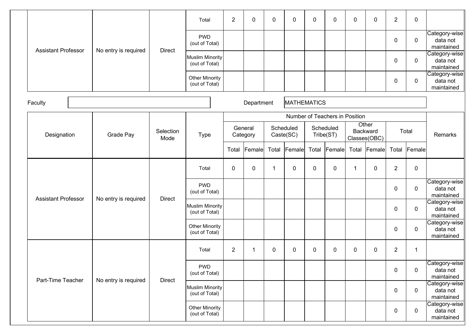|                            |                      |                   | Total                                    | $\overline{2}$ | 0                   | $\pmb{0}$ | 0                      | 0     | $\mathbf 0$                    | $\pmb{0}$ | $\mathbf 0$                       | $\overline{2}$ | $\mathbf 0$ |                                         |
|----------------------------|----------------------|-------------------|------------------------------------------|----------------|---------------------|-----------|------------------------|-------|--------------------------------|-----------|-----------------------------------|----------------|-------------|-----------------------------------------|
|                            |                      |                   | <b>PWD</b><br>(out of Total)             |                |                     |           |                        |       |                                |           |                                   | $\pmb{0}$      | $\mathbf 0$ | Category-wise<br>data not<br>maintained |
| <b>Assistant Professor</b> | No entry is required | <b>Direct</b>     | <b>Muslim Minority</b><br>(out of Total) |                |                     |           |                        |       |                                |           |                                   | 0              | $\mathbf 0$ | Category-wise<br>data not<br>maintained |
|                            |                      |                   | <b>Other Minority</b><br>(out of Total)  |                |                     |           |                        |       |                                |           |                                   | 0              | $\mathbf 0$ | Category-wise<br>data not<br>maintained |
| Faculty                    |                      |                   |                                          |                | Department          |           | <b>MATHEMATICS</b>     |       |                                |           |                                   |                |             |                                         |
|                            |                      |                   |                                          |                |                     |           |                        |       | Number of Teachers in Position |           |                                   |                |             |                                         |
| Designation                | <b>Grade Pay</b>     | Selection<br>Mode | <b>Type</b>                              |                | General<br>Category |           | Scheduled<br>Caste(SC) |       | Scheduled<br>Tribe(ST)         |           | Other<br>Backward<br>Classes(OBC) |                | Total       | Remarks                                 |
|                            |                      |                   |                                          | Total          | Female              | Total     | Female                 | Total | Female                         | Total     | Female                            | Total          | Female      |                                         |
|                            |                      |                   | Total                                    | $\mathbf 0$    | 0                   | 1         | 0                      | 0     | 0                              | 1         | $\mathbf 0$                       | $\overline{2}$ | $\mathbf 0$ |                                         |
| <b>Assistant Professor</b> | No entry is required | <b>Direct</b>     | <b>PWD</b><br>(out of Total)             |                |                     |           |                        |       |                                |           |                                   | 0              | $\mathbf 0$ | Category-wise<br>data not<br>maintained |
|                            |                      |                   | <b>Muslim Minority</b><br>(out of Total) |                |                     |           |                        |       |                                |           |                                   | 0              | $\mathbf 0$ | Category-wise<br>data not<br>maintained |
|                            |                      |                   | Other Minority<br>(out of Total)         |                |                     |           |                        |       |                                |           |                                   | 0              | $\mathbf 0$ | Category-wise<br>data not<br>maintained |
|                            |                      |                   | Total                                    | $\overline{2}$ | 1                   | 0         | $\mathbf{0}$           | 0     | $\mathbf 0$                    | $\pmb{0}$ | $\mathbf 0$                       | $\overline{2}$ | 1           |                                         |
| Part-Time Teacher          | No entry is required | Direct            | <b>PWD</b><br>(out of Total)             |                |                     |           |                        |       |                                |           |                                   | $\mathbf 0$    | $\mathbf 0$ | Category-wise<br>data not<br>maintained |
|                            |                      |                   | <b>Muslim Minority</b><br>(out of Total) |                |                     |           |                        |       |                                |           |                                   | $\mathbf 0$    | $\mathbf 0$ | Category-wise<br>data not<br>maintained |
|                            |                      |                   | <b>Other Minority</b><br>(out of Total)  |                |                     |           |                        |       |                                |           |                                   | $\pmb{0}$      | $\mathbf 0$ | Category-wise<br>data not<br>maintained |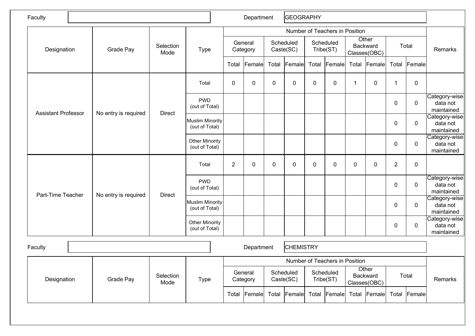| Faculty                    |                      |                   |                                          | Department     |                     | GEOGRAPHY   |                        |             |                                |                |                                   |                |             |                                         |
|----------------------------|----------------------|-------------------|------------------------------------------|----------------|---------------------|-------------|------------------------|-------------|--------------------------------|----------------|-----------------------------------|----------------|-------------|-----------------------------------------|
|                            |                      |                   |                                          |                |                     |             |                        |             | Number of Teachers in Position |                | Other                             |                |             |                                         |
| Designation                | Grade Pay            | Selection<br>Mode | <b>Type</b>                              |                | General<br>Category |             | Scheduled<br>Caste(SC) |             | Scheduled<br>Tribe(ST)         |                | <b>Backward</b><br>Classes(OBC)   |                | Total       | Remarks                                 |
|                            |                      |                   |                                          | Total          | Female              | Total       | Female                 | Total       | Female                         |                | Total Female                      | Total          | Female      |                                         |
|                            |                      |                   | Total                                    | $\mathbf 0$    | 0                   | $\mathbf 0$ | $\mathbf 0$            | $\mathbf 0$ | $\mathbf 0$                    | $\overline{1}$ | $\mathbf 0$                       | 1              | $\pmb{0}$   |                                         |
| <b>Assistant Professor</b> | No entry is required | <b>Direct</b>     | <b>PWD</b><br>(out of Total)             |                |                     |             |                        |             |                                |                |                                   | 0              | $\mathbf 0$ | Category-wise<br>data not<br>maintained |
|                            |                      |                   | <b>Muslim Minority</b><br>(out of Total) |                |                     |             |                        |             |                                |                |                                   | 0              | $\mathbf 0$ | Category-wise<br>data not<br>maintained |
|                            |                      |                   | <b>Other Minority</b><br>(out of Total)  |                |                     |             |                        |             |                                |                |                                   | 0              | $\mathbf 0$ | Category-wise<br>data not<br>maintained |
|                            |                      |                   | Total                                    | $\overline{2}$ | 0                   | $\mathbf 0$ | $\mathbf 0$            | $\mathbf 0$ | $\mathbf 0$                    | $\mathbf 0$    | $\mathbf 0$                       | $\overline{2}$ | $\mathbf 0$ |                                         |
| Part-Time Teacher          | No entry is required | <b>Direct</b>     | <b>PWD</b><br>(out of Total)             |                |                     |             |                        |             |                                |                |                                   | 0              | $\mathbf 0$ | Category-wise<br>data not<br>maintained |
|                            |                      |                   | <b>Muslim Minority</b><br>(out of Total) |                |                     |             |                        |             |                                |                |                                   | 0              | $\mathbf 0$ | Category-wise<br>data not<br>maintained |
|                            |                      |                   | <b>Other Minority</b><br>(out of Total)  |                |                     |             |                        |             |                                |                |                                   | 0              | $\mathbf 0$ | Category-wise<br>data not<br>maintained |
| Faculty                    |                      |                   |                                          |                | Department          |             | <b>CHEMISTRY</b>       |             |                                |                |                                   |                |             |                                         |
|                            |                      |                   |                                          |                |                     |             |                        |             | Number of Teachers in Position |                |                                   |                |             |                                         |
| Designation                | Grade Pay            | Selection<br>Mode | <b>Type</b>                              |                | General<br>Category |             | Scheduled<br>Caste(SC) |             | Scheduled<br>Tribe(ST)         |                | Other<br>Backward<br>Classes(OBC) |                | Total       | Remarks                                 |
|                            |                      |                   |                                          | Total          | Female              | Total       | Female                 |             | Total Female                   |                | Total Female                      | Total          | Female      |                                         |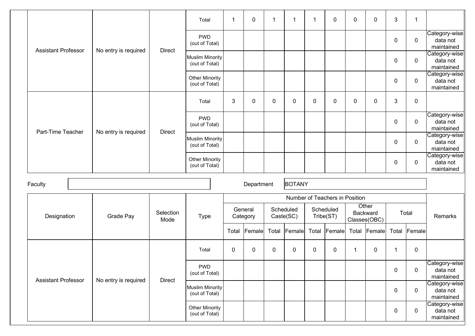|  |                            |  |                      |                                          | Total                                    | -1           | $\mathbf 0$         | $\mathbf{1}$ | 1                      | 1     | $\mathbf{0}$                   | 0        | $\mathbf 0$           | $\mathfrak{S}$   | 1                                       |                                         |
|--|----------------------------|--|----------------------|------------------------------------------|------------------------------------------|--------------|---------------------|--------------|------------------------|-------|--------------------------------|----------|-----------------------|------------------|-----------------------------------------|-----------------------------------------|
|  | <b>Assistant Professor</b> |  | No entry is required | <b>Direct</b>                            | <b>PWD</b><br>(out of Total)             |              |                     |              |                        |       |                                |          |                       | $\mathbf 0$      | $\pmb{0}$                               | Category-wise<br>data not<br>maintained |
|  |                            |  |                      |                                          | <b>Muslim Minority</b><br>(out of Total) |              |                     |              |                        |       |                                |          |                       | $\boldsymbol{0}$ | $\pmb{0}$                               | Category-wise<br>data not<br>maintained |
|  |                            |  |                      |                                          | <b>Other Minority</b><br>(out of Total)  |              |                     |              |                        |       |                                |          |                       | $\boldsymbol{0}$ | $\pmb{0}$                               | Category-wise<br>data not<br>maintained |
|  |                            |  |                      |                                          | Total                                    | $\mathbf{3}$ | 0                   | 0            | 0                      | 0     | $\mathbf{0}$                   | 0        | $\mathbf 0$           | $\mathfrak{S}$   | $\pmb{0}$                               |                                         |
|  | Part-Time Teacher          |  | No entry is required | <b>Direct</b>                            | <b>PWD</b><br>(out of Total)             |              |                     |              |                        |       |                                |          |                       | 0                | $\mathbf 0$                             | Category-wise<br>data not<br>maintained |
|  |                            |  |                      | <b>Muslim Minority</b><br>(out of Total) |                                          |              |                     |              |                        |       |                                |          | 0                     | $\mathbf 0$      | Category-wise<br>data not<br>maintained |                                         |
|  |                            |  |                      | <b>Other Minority</b><br>(out of Total)  |                                          |              |                     |              |                        |       |                                |          | 0                     | $\mathbf 0$      | Category-wise<br>data not<br>maintained |                                         |
|  | Faculty                    |  |                      |                                          |                                          |              | Department          |              | <b>BOTANY</b>          |       |                                |          |                       |                  |                                         |                                         |
|  |                            |  |                      |                                          |                                          |              |                     |              |                        |       | Number of Teachers in Position |          |                       |                  |                                         |                                         |
|  | Designation                |  | Grade Pay            | Selection<br>Mode                        | <b>Type</b>                              |              | General<br>Category |              | Scheduled<br>Caste(SC) |       | Scheduled<br>Tribe(ST)         | Backward | Other<br>Classes(OBC) | Total            |                                         | Remarks                                 |
|  |                            |  |                      |                                          |                                          | Total        | Female              | Total        | Female                 | Total | Female                         | Total    | Female                | Total            | Female                                  |                                         |
|  |                            |  |                      |                                          | Total                                    | $\mathbf 0$  | $\mathbf 0$         | $\mathbf 0$  | 0                      | 0     | 0                              | 1        | $\mathbf 0$           | $\mathbf 1$      | $\mathbf 0$                             |                                         |
|  | <b>Assistant Professor</b> |  | No entry is required | Direct                                   | <b>PWD</b><br>(out of Total)             |              |                     |              |                        |       |                                |          |                       | 0                | $\mathbf 0$                             | Category-wise<br>data not<br>maintained |
|  |                            |  |                      |                                          | <b>Muslim Minority</b><br>(out of Total) |              |                     |              |                        |       |                                |          |                       | 0                | $\mathbf 0$                             | Category-wise<br>data not<br>maintained |
|  |                            |  |                      |                                          | <b>Other Minority</b><br>(out of Total)  |              |                     |              |                        |       |                                |          |                       | 0                | $\pmb{0}$                               | Category-wise<br>data not<br>maintained |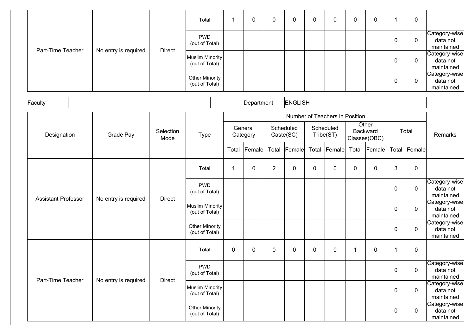|                            |                      |                   | Total                                    | 1           | 0                   | $\mathbf 0$    | 0                      | 0     | 0                              | $\pmb{0}$    | $\mathbf 0$       | $\mathbf{1}$ | $\mathbf 0$ |                                         |
|----------------------------|----------------------|-------------------|------------------------------------------|-------------|---------------------|----------------|------------------------|-------|--------------------------------|--------------|-------------------|--------------|-------------|-----------------------------------------|
|                            |                      |                   | <b>PWD</b><br>(out of Total)             |             |                     |                |                        |       |                                |              |                   | $\pmb{0}$    | $\mathbf 0$ | Category-wise<br>data not<br>maintained |
| Part-Time Teacher          | No entry is required | <b>Direct</b>     | <b>Muslim Minority</b><br>(out of Total) |             |                     |                |                        |       |                                |              |                   | 0            | $\mathbf 0$ | Category-wise<br>data not<br>maintained |
|                            |                      |                   | <b>Other Minority</b><br>(out of Total)  |             |                     |                |                        |       |                                |              |                   | 0            | $\mathbf 0$ | Category-wise<br>data not<br>maintained |
| Faculty                    |                      |                   |                                          |             | Department          |                | <b>ENGLISH</b>         |       |                                |              |                   |              |             |                                         |
|                            |                      |                   |                                          |             |                     |                |                        |       | Number of Teachers in Position |              |                   |              |             |                                         |
| Designation                | Grade Pay            | Selection<br>Mode | <b>Type</b>                              |             | General<br>Category |                | Scheduled<br>Caste(SC) |       | Scheduled<br>Tribe(ST)         | Classes(OBC) | Other<br>Backward |              | Total       | Remarks                                 |
|                            |                      |                   |                                          | Total       | Female              | Total          | Female                 | Total | Female                         | Total        | <b>Female</b>     | Total        | Female      |                                         |
|                            |                      |                   | Total                                    | 1           | 0                   | $\overline{2}$ | 0                      | 0     | 0                              | $\pmb{0}$    | $\mathbf 0$       | 3            | $\mathbf 0$ |                                         |
| <b>Assistant Professor</b> | No entry is required | <b>Direct</b>     | <b>PWD</b><br>(out of Total)             |             |                     |                |                        |       |                                |              |                   | $\pmb{0}$    | $\mathbf 0$ | Category-wise<br>data not<br>maintained |
|                            |                      |                   | <b>Muslim Minority</b><br>(out of Total) |             |                     |                |                        |       |                                |              |                   | $\pmb{0}$    | $\mathbf 0$ | Category-wise<br>data not<br>maintained |
|                            |                      |                   | Other Minority<br>(out of Total)         |             |                     |                |                        |       |                                |              |                   | 0            | $\mathbf 0$ | Category-wise<br>data not<br>maintained |
|                            |                      |                   | Total                                    | $\mathbf 0$ | $\mathbf{0}$        | $\mathbf 0$    | $\mathbf{0}$           | 0     | 0                              | 1            | $\mathbf 0$       | $\mathbf{1}$ | $\mathbf 0$ |                                         |
| Part-Time Teacher          | No entry is required | <b>Direct</b>     | <b>PWD</b><br>(out of Total)             |             |                     |                |                        |       |                                |              |                   | $\pmb{0}$    | $\mathbf 0$ | Category-wise<br>data not<br>maintained |
|                            |                      |                   | Muslim Minority<br>(out of Total)        |             |                     |                |                        |       |                                |              |                   | 0            | $\mathbf 0$ | Category-wise<br>data not<br>maintained |
|                            |                      |                   | <b>Other Minority</b><br>(out of Total)  |             |                     |                |                        |       |                                |              |                   | 0            | $\mathbf 0$ | Category-wise<br>data not<br>maintained |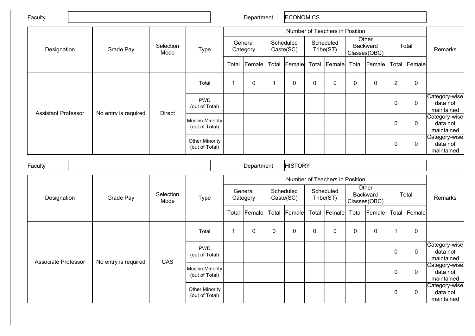| Faculty                    |                      |                   |                                          |             | Department          |              | <b>ECONOMICS</b>       |             |                                |                  |                                   |                |                |                                         |
|----------------------------|----------------------|-------------------|------------------------------------------|-------------|---------------------|--------------|------------------------|-------------|--------------------------------|------------------|-----------------------------------|----------------|----------------|-----------------------------------------|
|                            |                      |                   |                                          |             |                     |              |                        |             | Number of Teachers in Position |                  | Other                             |                |                |                                         |
| Designation                | Grade Pay            | Selection<br>Mode | <b>Type</b>                              |             | General<br>Category |              | Scheduled<br>Caste(SC) |             | Scheduled<br>Tribe(ST)         |                  | Backward<br>Classes(OBC)          |                | Total          | Remarks                                 |
|                            |                      |                   |                                          | Total       | Female              | Total        | Female                 |             | Total Female                   | Total            | Female                            | Total          | Female         |                                         |
|                            |                      |                   | Total                                    | $\mathbf 1$ | 0                   | $\mathbf{1}$ | 0                      | $\mathbf 0$ | $\mathbf 0$                    | 0                | $\mathbf 0$                       | $\overline{2}$ | $\overline{0}$ |                                         |
| <b>Assistant Professor</b> | No entry is required | <b>Direct</b>     | <b>PWD</b><br>(out of Total)             |             |                     |              |                        |             |                                |                  |                                   | 0              | $\pmb{0}$      | Category-wise<br>data not<br>maintained |
|                            |                      |                   | <b>Muslim Minority</b><br>(out of Total) |             |                     |              |                        |             |                                |                  |                                   | $\pmb{0}$      | $\mathbf 0$    | Category-wise<br>data not<br>maintained |
|                            |                      |                   | <b>Other Minority</b><br>(out of Total)  |             |                     |              |                        |             |                                |                  |                                   | $\pmb{0}$      | $\pmb{0}$      | Category-wise<br>data not<br>maintained |
| Faculty                    |                      |                   |                                          |             | Department          |              | <b>HISTORY</b>         |             |                                |                  |                                   |                |                |                                         |
|                            |                      |                   |                                          |             |                     |              |                        |             | Number of Teachers in Position |                  |                                   |                |                |                                         |
| Designation                | Grade Pay            | Selection<br>Mode | <b>Type</b>                              |             | General<br>Category |              | Scheduled<br>Caste(SC) |             | Scheduled<br>Tribe(ST)         |                  | Other<br>Backward<br>Classes(OBC) |                | Total          | Remarks                                 |
|                            |                      |                   |                                          |             | Total Female        | Total        | Female                 |             | Total Female                   |                  | Total Female                      | Total          | <b>Female</b>  |                                         |
|                            |                      |                   | Total                                    | -1          | 0                   | $\mathbf 0$  | 0                      | $\mathbf 0$ | 0                              | $\boldsymbol{0}$ | $\mathbf 0$                       | $\mathbf 1$    | $\pmb{0}$      |                                         |
| Associate Professor        | No entry is required | CAS               | <b>PWD</b><br>(out of Total)             |             |                     |              |                        |             |                                |                  |                                   | $\pmb{0}$      | $\mathbf 0$    | Category-wise<br>data not<br>maintained |
|                            |                      |                   | <b>Muslim Minority</b><br>(out of Total) |             |                     |              |                        |             |                                |                  |                                   | $\pmb{0}$      | $\pmb{0}$      | Category-wise<br>data not<br>maintained |
|                            |                      |                   | <b>Other Minority</b><br>(out of Total)  |             |                     |              |                        |             |                                |                  |                                   | $\mathbf 0$    | $\mathbf 0$    | Category-wise<br>data not<br>maintained |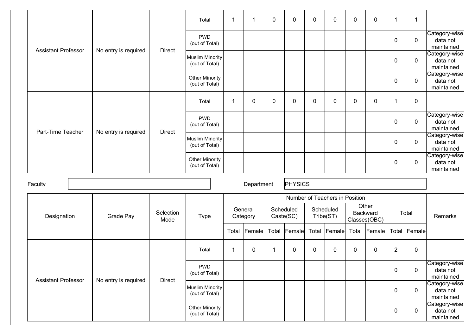|                            |                      |                   | Total                                    | -1                      | $\mathbf 1$         | 0            | 0                      | $\mathbf 0$ | 0                              | 0           | $\mathbf 0$                       | $\mathbf 1$      | 1           |                                         |
|----------------------------|----------------------|-------------------|------------------------------------------|-------------------------|---------------------|--------------|------------------------|-------------|--------------------------------|-------------|-----------------------------------|------------------|-------------|-----------------------------------------|
| <b>Assistant Professor</b> | No entry is required | <b>Direct</b>     | <b>PWD</b><br>(out of Total)             |                         |                     |              |                        |             |                                |             |                                   | 0                | $\pmb{0}$   | Category-wise<br>data not<br>maintained |
|                            |                      |                   | <b>Muslim Minority</b><br>(out of Total) |                         |                     |              |                        |             |                                |             |                                   | $\boldsymbol{0}$ | $\pmb{0}$   | Category-wise<br>data not<br>maintained |
|                            |                      |                   | <b>Other Minority</b><br>(out of Total)  |                         |                     |              |                        |             |                                |             |                                   | 0                | $\pmb{0}$   | Category-wise<br>data not<br>maintained |
|                            |                      |                   | Total                                    | -1                      | $\mathbf 0$         | 0            | 0                      | 0           | $\mathbf{0}$                   | 0           | $\mathbf 0$                       | 1                | $\pmb{0}$   |                                         |
| Part-Time Teacher          | No entry is required | <b>Direct</b>     | <b>PWD</b><br>(out of Total)             |                         |                     |              |                        |             |                                |             |                                   | 0                | $\pmb{0}$   | Category-wise<br>data not<br>maintained |
|                            |                      |                   | <b>Muslim Minority</b><br>(out of Total) |                         |                     |              |                        |             |                                |             |                                   | 0                | $\mathbf 0$ | Category-wise<br>data not<br>maintained |
|                            |                      |                   | <b>Other Minority</b><br>(out of Total)  |                         |                     |              |                        |             |                                |             |                                   | 0                | $\mathbf 0$ | Category-wise<br>data not<br>maintained |
| Faculty                    |                      |                   |                                          |                         | Department          |              | PHYSICS                |             |                                |             |                                   |                  |             |                                         |
|                            |                      |                   |                                          |                         |                     |              |                        |             | Number of Teachers in Position |             |                                   |                  |             |                                         |
| Designation                | Grade Pay            | Selection<br>Mode | <b>Type</b>                              |                         | General<br>Category |              | Scheduled<br>Caste(SC) |             | Scheduled<br>Tribe(ST)         |             | Other<br>Backward<br>Classes(OBC) | Total            |             | Remarks                                 |
|                            |                      |                   |                                          | Total                   | Female              | Total        | Female                 | Total       | Female                         | Total       | Female                            | Total            | Female      |                                         |
|                            |                      |                   | Total                                    | $\overline{\mathbf{1}}$ | $\mathbf 0$         | $\mathbf{1}$ | 0                      | 0           | 0                              | $\mathbf 0$ | 0                                 | $\overline{2}$   | $\mathbf 0$ |                                         |
| <b>Assistant Professor</b> |                      | Direct            | <b>PWD</b><br>(out of Total)             |                         |                     |              |                        |             |                                |             |                                   | 0                | $\mathbf 0$ | Category-wise<br>data not<br>maintained |
|                            | No entry is required |                   | <b>Muslim Minority</b><br>(out of Total) |                         |                     |              |                        |             |                                |             |                                   | 0                | $\mathbf 0$ | Category-wise<br>data not<br>maintained |
|                            |                      |                   | <b>Other Minority</b><br>(out of Total)  |                         |                     |              |                        |             |                                |             |                                   | 0                | $\pmb{0}$   | Category-wise<br>data not<br>maintained |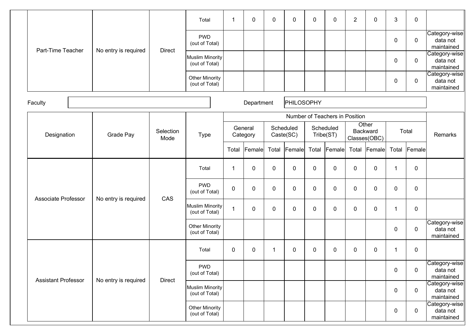|                     |                      |                   | Total                                    | 1           | 0                   | $\mathbf 0$ | 0                      | 0     | $\mathbf 0$                    | $\overline{2}$ | $\mathbf 0$                       | 3           | $\mathbf 0$ |                                         |
|---------------------|----------------------|-------------------|------------------------------------------|-------------|---------------------|-------------|------------------------|-------|--------------------------------|----------------|-----------------------------------|-------------|-------------|-----------------------------------------|
| Part-Time Teacher   |                      |                   | <b>PWD</b><br>(out of Total)             |             |                     |             |                        |       |                                |                |                                   | $\pmb{0}$   | $\mathbf 0$ | Category-wise<br>data not<br>maintained |
|                     | No entry is required | <b>Direct</b>     | <b>Muslim Minority</b><br>(out of Total) |             |                     |             |                        |       |                                |                |                                   | 0           | $\mathbf 0$ | Category-wise<br>data not<br>maintained |
|                     |                      |                   | <b>Other Minority</b><br>(out of Total)  |             |                     |             |                        |       |                                |                |                                   | 0           | $\mathbf 0$ | Category-wise<br>data not<br>maintained |
| Faculty             |                      |                   |                                          |             | Department          |             | <b>PHILOSOPHY</b>      |       |                                |                |                                   |             |             |                                         |
|                     |                      |                   |                                          |             |                     |             |                        |       | Number of Teachers in Position |                |                                   |             |             |                                         |
| Designation         | Grade Pay            | Selection<br>Mode | <b>Type</b>                              |             | General<br>Category |             | Scheduled<br>Caste(SC) |       | Scheduled<br>Tribe(ST)         |                | Other<br>Backward<br>Classes(OBC) |             | Total       | Remarks                                 |
|                     |                      |                   |                                          | Total       | Female              |             | Total Female           | Total | Female                         | Total          | $ $ Female $ $                    | Total       | Female      |                                         |
|                     |                      |                   | Total                                    | 1           | 0                   | $\pmb{0}$   | 0                      | 0     | 0                              | $\pmb{0}$      | $\mathbf 0$                       | 1           | $\mathbf 0$ |                                         |
| Associate Professor | No entry is required | CAS               | <b>PWD</b><br>(out of Total)             | $\mathbf 0$ | $\mathbf 0$         | $\mathbf 0$ | 0                      | 0     | $\mathbf 0$                    | $\pmb{0}$      | $\mathbf 0$                       | 0           | $\mathbf 0$ |                                         |
|                     |                      |                   | <b>Muslim Minority</b><br>(out of Total) | 1           | 0                   | $\mathbf 0$ | 0                      | 0     | 0                              | $\pmb{0}$      | $\mathbf 0$                       | $\mathbf 1$ | $\mathbf 0$ |                                         |
|                     |                      |                   | <b>Other Minority</b><br>(out of Total)  |             |                     |             |                        |       |                                |                |                                   | 0           | $\mathbf 0$ | Category-wise<br>data not<br>maintained |
|                     |                      |                   | Total                                    | $\mathbf 0$ | $\mathbf{0}$        | 1           | $\mathbf{0}$           | 0     | $\mathbf 0$                    | $\pmb{0}$      | $\mathbf 0$                       | 1           | $\mathbf 0$ |                                         |
| Assistant Professor |                      | <b>Direct</b>     | <b>PWD</b><br>(out of Total)             |             |                     |             |                        |       |                                |                |                                   | $\pmb{0}$   | $\mathbf 0$ | Category-wise<br>data not<br>maintained |
|                     | No entry is required |                   | Muslim Minority<br>(out of Total)        |             |                     |             |                        |       |                                |                |                                   | 0           | $\mathbf 0$ | Category-wise<br>data not<br>maintained |
|                     |                      |                   | Other Minority<br>(out of Total)         |             |                     |             |                        |       |                                |                |                                   | 0           | $\mathbf 0$ | Category-wise<br>data not<br>maintained |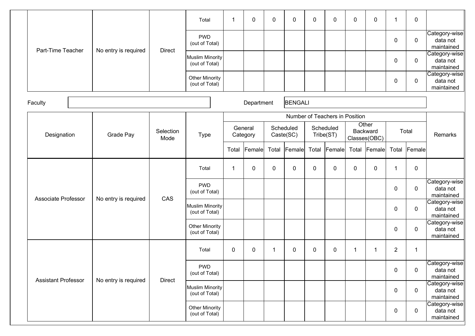|                     |                      |                   | Total                                    | 1           | 0                   | $\mathbf 0$ | 0                      | 0     | 0                              | $\pmb{0}$ | $\mathbf 0$                       | $\mathbf{1}$   | $\mathbf 0$ |                                         |
|---------------------|----------------------|-------------------|------------------------------------------|-------------|---------------------|-------------|------------------------|-------|--------------------------------|-----------|-----------------------------------|----------------|-------------|-----------------------------------------|
|                     |                      |                   | <b>PWD</b><br>(out of Total)             |             |                     |             |                        |       |                                |           |                                   | $\pmb{0}$      | $\mathbf 0$ | Category-wise<br>data not<br>maintained |
| Part-Time Teacher   | No entry is required | <b>Direct</b>     | <b>Muslim Minority</b><br>(out of Total) |             |                     |             |                        |       |                                |           |                                   | 0              | $\mathbf 0$ | Category-wise<br>data not<br>maintained |
|                     |                      |                   | <b>Other Minority</b><br>(out of Total)  |             |                     |             |                        |       |                                |           |                                   | 0              | $\mathbf 0$ | Category-wise<br>data not<br>maintained |
| Faculty             |                      |                   |                                          |             | Department          |             | <b>BENGALI</b>         |       |                                |           |                                   |                |             |                                         |
|                     |                      |                   |                                          |             |                     |             |                        |       | Number of Teachers in Position |           |                                   |                |             |                                         |
| Designation         | Grade Pay            | Selection<br>Mode | <b>Type</b>                              |             | General<br>Category |             | Scheduled<br>Caste(SC) |       | Scheduled<br>Tribe(ST)         |           | Other<br>Backward<br>Classes(OBC) |                | Total       | Remarks                                 |
|                     |                      |                   |                                          | Total       | Female              | Total       | Female                 | Total | Female                         | Total     | <b>Female</b>                     | Total          | Female      |                                         |
|                     |                      |                   | Total                                    | 1           | 0                   | $\pmb{0}$   | 0                      | 0     | 0                              | $\pmb{0}$ | $\mathbf 0$                       | 1              | $\mathbf 0$ |                                         |
| Associate Professor | No entry is required | CAS               | <b>PWD</b><br>(out of Total)             |             |                     |             |                        |       |                                |           |                                   | $\pmb{0}$      | $\mathbf 0$ | Category-wise<br>data not<br>maintained |
|                     |                      |                   | <b>Muslim Minority</b><br>(out of Total) |             |                     |             |                        |       |                                |           |                                   | $\pmb{0}$      | $\mathbf 0$ | Category-wise<br>data not<br>maintained |
|                     |                      |                   | Other Minority<br>(out of Total)         |             |                     |             |                        |       |                                |           |                                   | 0              | $\mathbf 0$ | Category-wise<br>data not<br>maintained |
|                     |                      |                   | Total                                    | $\mathbf 0$ | $\mathbf{0}$        | 1           | $\mathbf{0}$           | 0     | 0                              | 1         | 1                                 | $\overline{2}$ | 1           |                                         |
| Assistant Professor | No entry is required | <b>Direct</b>     | <b>PWD</b><br>(out of Total)             |             |                     |             |                        |       |                                |           |                                   | $\pmb{0}$      | $\mathbf 0$ | Category-wise<br>data not<br>maintained |
|                     |                      |                   | Muslim Minority<br>(out of Total)        |             |                     |             |                        |       |                                |           |                                   | 0              | $\mathbf 0$ | Category-wise<br>data not<br>maintained |
|                     |                      |                   | Other Minority<br>(out of Total)         |             |                     |             |                        |       |                                |           |                                   | 0              | $\mathbf 0$ | Category-wise<br>data not<br>maintained |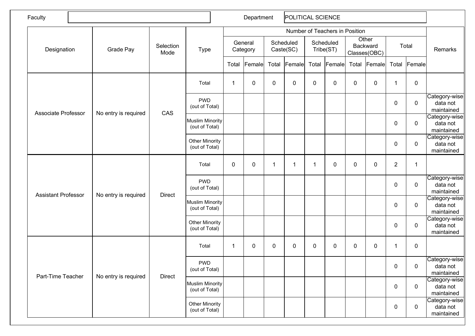| Faculty                    |                      |                   |                                          |             | Department          |           | POLITICAL SCIENCE      |              |                                |             |                                   |                |                  |                                         |
|----------------------------|----------------------|-------------------|------------------------------------------|-------------|---------------------|-----------|------------------------|--------------|--------------------------------|-------------|-----------------------------------|----------------|------------------|-----------------------------------------|
|                            |                      |                   |                                          |             |                     |           |                        |              | Number of Teachers in Position |             |                                   |                |                  |                                         |
| Designation                | Grade Pay            | Selection<br>Mode | <b>Type</b>                              |             | General<br>Category |           | Scheduled<br>Caste(SC) |              | Scheduled<br>Tribe(ST)         |             | Other<br>Backward<br>Classes(OBC) |                | Total            | Remarks                                 |
|                            |                      |                   |                                          | Total       | Female              | Total     | Female                 | Total        | Female                         | Total       | <b>Female</b>                     | Total          | Female           |                                         |
|                            |                      |                   | Total                                    | $\mathbf 1$ | 0                   | $\pmb{0}$ | 0                      | $\pmb{0}$    | 0                              | $\mathbf 0$ | $\mathbf 0$                       | $\mathbf 1$    | $\mathbf 0$      |                                         |
| Associate Professor        | No entry is required | CAS               | <b>PWD</b><br>(out of Total)             |             |                     |           |                        |              |                                |             |                                   | $\pmb{0}$      | $\boldsymbol{0}$ | Category-wise<br>data not<br>maintained |
|                            |                      |                   | <b>Muslim Minority</b><br>(out of Total) |             |                     |           |                        |              |                                |             |                                   | $\pmb{0}$      | $\boldsymbol{0}$ | Category-wise<br>data not<br>maintained |
|                            |                      |                   | <b>Other Minority</b><br>(out of Total)  |             |                     |           |                        |              |                                |             |                                   | $\mathbf 0$    | $\boldsymbol{0}$ | Category-wise<br>data not<br>maintained |
|                            |                      |                   | Total                                    | $\pmb{0}$   | 0                   | 1         | -1                     | $\mathbf{1}$ | 0                              | 0           | $\pmb{0}$                         | $\overline{c}$ | 1                |                                         |
| <b>Assistant Professor</b> | No entry is required | <b>Direct</b>     | <b>PWD</b><br>(out of Total)             |             |                     |           |                        |              |                                |             |                                   | $\pmb{0}$      | $\mathbf 0$      | Category-wise<br>data not<br>maintained |
|                            |                      |                   | <b>Muslim Minority</b><br>(out of Total) |             |                     |           |                        |              |                                |             |                                   | $\pmb{0}$      | $\mathbf 0$      | Category-wise<br>data not<br>maintained |
|                            |                      |                   | <b>Other Minority</b><br>(out of Total)  |             |                     |           |                        |              |                                |             |                                   | $\mathbf 0$    | $\mathbf 0$      | Category-wise<br>data not<br>maintained |
|                            |                      |                   | Total                                    | $\mathbf 1$ | 0                   | $\pmb{0}$ | 0                      | 0            | $\mathbf 0$                    | 0           | $\mathbf 0$                       | 1              | $\mathbf 0$      |                                         |
| Part-Time Teacher          | No entry is required | <b>Direct</b>     | <b>PWD</b><br>(out of Total)             |             |                     |           |                        |              |                                |             |                                   | $\mathbf 0$    | $\overline{0}$   | Category-wise<br>data not<br>maintained |
|                            |                      |                   | <b>Muslim Minority</b><br>(out of Total) |             |                     |           |                        |              |                                |             |                                   | $\mathbf 0$    | $\mathbf 0$      | Category-wise<br>data not<br>maintained |
|                            |                      |                   | <b>Other Minority</b><br>(out of Total)  |             |                     |           |                        |              |                                |             |                                   | $\mathbf 0$    | $\mathbf 0$      | Category-wise<br>data not<br>maintained |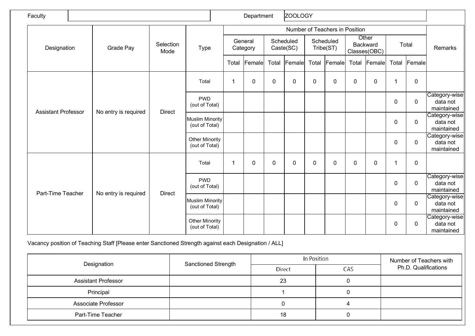| Faculty                    |                      |                   |                                          |       | Department          |             | <b>ZOOLOGY</b>         |             |                                |             |                                          |             |             |                                         |
|----------------------------|----------------------|-------------------|------------------------------------------|-------|---------------------|-------------|------------------------|-------------|--------------------------------|-------------|------------------------------------------|-------------|-------------|-----------------------------------------|
|                            |                      |                   |                                          |       |                     |             |                        |             | Number of Teachers in Position |             |                                          |             |             |                                         |
| Designation                | Grade Pay            | Selection<br>Mode | <b>Type</b>                              |       | General<br>Category |             | Scheduled<br>Caste(SC) |             | Scheduled<br>Tribe(ST)         |             | Other<br><b>Backward</b><br>Classes(OBC) |             | Total       | Remarks                                 |
|                            |                      |                   |                                          | Total | Female              |             | Total Female           | Total       | Female                         |             | Total Female                             | Total       | Female      |                                         |
|                            |                      |                   | Total                                    | -1    | $\mathbf 0$         | $\pmb{0}$   | $\mathbf 0$            | 0           | $\mathbf 0$                    | $\pmb{0}$   | $\mathbf 0$                              | 1           | $\pmb{0}$   |                                         |
|                            |                      |                   | <b>PWD</b><br>(out of Total)             |       |                     |             |                        |             |                                |             |                                          | $\pmb{0}$   | $\mathbf 0$ | Category-wise<br>data not<br>maintained |
| <b>Assistant Professor</b> | No entry is required | <b>Direct</b>     | <b>Muslim Minority</b><br>(out of Total) |       |                     |             |                        |             |                                |             |                                          | $\pmb{0}$   | $\mathbf 0$ | Category-wise<br>data not<br>maintained |
|                            |                      |                   | <b>Other Minority</b><br>(out of Total)  |       |                     |             |                        |             |                                |             |                                          | 0           | $\mathbf 0$ | Category-wise<br>data not<br>maintained |
|                            |                      |                   | Total                                    | 1     | 0                   | $\mathbf 0$ | 0                      | $\mathbf 0$ | $\mathbf{0}$                   | $\mathbf 0$ | $\mathbf 0$                              | 1           | $\mathbf 0$ |                                         |
| Part-Time Teacher          |                      | <b>Direct</b>     | <b>PWD</b><br>(out of Total)             |       |                     |             |                        |             |                                |             |                                          | 0           | $\mathbf 0$ | Category-wise<br>data not<br>maintained |
|                            | No entry is required |                   | <b>Muslim Minority</b><br>(out of Total) |       |                     |             |                        |             |                                |             |                                          | $\mathbf 0$ | $\mathbf 0$ | Category-wise<br>data not<br>maintained |
|                            |                      |                   | <b>Other Minority</b><br>(out of Total)  |       |                     |             |                        |             |                                |             |                                          | 0           | $\mathbf 0$ | Category-wise<br>data not<br>maintained |

Vacancy position of Teaching Staff [Please enter Sanctioned Strength against each Designation / ALL]

| Designation                | <b>Sanctioned Strength</b> |               | In Position | Number of Teachers with |
|----------------------------|----------------------------|---------------|-------------|-------------------------|
|                            |                            | <b>Direct</b> | CAS         | Ph.D. Qualifications    |
| <b>Assistant Professor</b> |                            | 23            |             |                         |
| Principal                  |                            |               |             |                         |
| Associate Professor        |                            |               |             |                         |
| Part-Time Teacher          |                            | 18            |             |                         |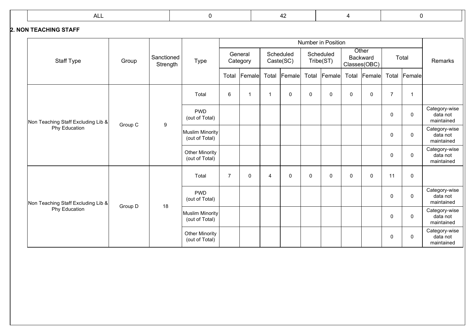#### **2. NON TEACHING STAFF**

|                                    |         |                        |                                         |                |                     |                |                        |       | <b>Number in Position</b> |             |                                          |                  |               |                                         |
|------------------------------------|---------|------------------------|-----------------------------------------|----------------|---------------------|----------------|------------------------|-------|---------------------------|-------------|------------------------------------------|------------------|---------------|-----------------------------------------|
| <b>Staff Type</b>                  | Group   | Sanctioned<br>Strength | <b>Type</b>                             |                | General<br>Category |                | Scheduled<br>Caste(SC) |       | Scheduled<br>Tribe(ST)    |             | Other<br><b>Backward</b><br>Classes(OBC) |                  | Total         | Remarks                                 |
|                                    |         |                        |                                         | Total          | Female              | Total          | Female                 | Total | Female                    | Total       | Female                                   | Total            | <b>Female</b> |                                         |
|                                    |         |                        | Total                                   | 6              | $\mathbf{1}$        | $\mathbf{1}$   | 0                      | 0     | 0                         | $\mathbf 0$ | 0                                        | $\overline{7}$   | $\mathbf{1}$  |                                         |
| Non Teaching Staff Excluding Lib & | Group C | 9                      | <b>PWD</b><br>(out of Total)            |                |                     |                |                        |       |                           |             |                                          | $\mathbf 0$      | $\mathbf 0$   | Category-wise<br>data not<br>maintained |
| Phy Education                      |         |                        | Muslim Minority<br>(out of Total)       |                |                     |                |                        |       |                           |             |                                          | $\mathbf 0$      | $\mathbf 0$   | Category-wise<br>data not<br>maintained |
|                                    |         |                        | <b>Other Minority</b><br>(out of Total) |                |                     |                |                        |       |                           |             |                                          | $\mathbf 0$      | $\mathbf 0$   | Category-wise<br>data not<br>maintained |
|                                    |         |                        | Total                                   | $\overline{7}$ | $\pmb{0}$           | $\overline{4}$ | $\Omega$               | 0     | $\pmb{0}$                 | $\Omega$    | 0                                        | 11               | $\pmb{0}$     |                                         |
| Non Teaching Staff Excluding Lib & | Group D | 18                     | <b>PWD</b><br>(out of Total)            |                |                     |                |                        |       |                           |             |                                          | $\mathbf 0$      | $\mathbf 0$   | Category-wise<br>data not<br>maintained |
| Phy Education                      |         |                        | Muslim Minority<br>(out of Total)       |                |                     |                |                        |       |                           |             |                                          | $\mathbf 0$      | $\mathbf 0$   | Category-wise<br>data not<br>maintained |
|                                    |         |                        | <b>Other Minority</b><br>(out of Total) |                |                     |                |                        |       |                           |             |                                          | $\boldsymbol{0}$ | $\mathbf 0$   | Category-wise<br>data not<br>maintained |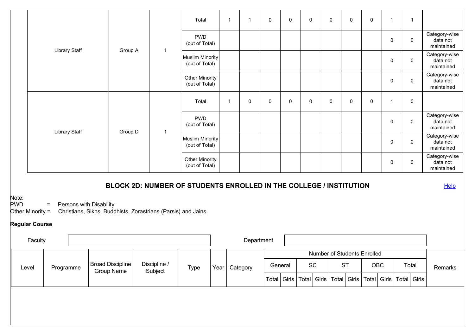|                                           |         |                      |                         |                                       |                                                                    | Total                                    |                 | $\mathbf{1}$ | $\mathbf{1}$ | 0 | 0       | $\mathbf 0$                  | 0                           | 0           | $\mathbf 0$ | $\mathbf{1}$ | $\overline{1}$                                                                |                                         |
|-------------------------------------------|---------|----------------------|-------------------------|---------------------------------------|--------------------------------------------------------------------|------------------------------------------|-----------------|--------------|--------------|---|---------|------------------------------|-----------------------------|-------------|-------------|--------------|-------------------------------------------------------------------------------|-----------------------------------------|
|                                           |         |                      |                         |                                       |                                                                    | <b>PWD</b><br>(out of Total)             |                 |              |              |   |         |                              |                             |             |             | 0            | 0                                                                             | Category-wise<br>data not<br>maintained |
|                                           |         | <b>Library Staff</b> |                         | Group A                               | $\overline{1}$                                                     | <b>Muslim Minority</b><br>(out of Total) |                 |              |              |   |         |                              |                             |             |             | 0            | 0                                                                             | Category-wise<br>data not<br>maintained |
|                                           |         |                      |                         |                                       |                                                                    | <b>Other Minority</b><br>(out of Total)  |                 |              |              |   |         |                              |                             |             |             | 0            | 0                                                                             | Category-wise<br>data not<br>maintained |
|                                           |         |                      |                         |                                       |                                                                    | Total                                    |                 | $\mathbf{1}$ | 0            | 0 | 0       | 0                            | 0                           | $\mathbf 0$ | 0           | -1           | $\mathbf 0$                                                                   |                                         |
|                                           |         | <b>Library Staff</b> |                         |                                       | $\overline{1}$                                                     | <b>PWD</b><br>(out of Total)             |                 |              |              |   |         |                              |                             |             |             | 0            | 0                                                                             | Category-wise<br>data not<br>maintained |
|                                           |         |                      |                         | Group D                               |                                                                    | <b>Muslim Minority</b><br>(out of Total) |                 |              |              |   |         |                              |                             |             |             | 0            | 0                                                                             | Category-wise<br>data not<br>maintained |
|                                           |         |                      |                         |                                       |                                                                    | <b>Other Minority</b><br>(out of Total)  |                 |              |              |   |         |                              |                             |             |             | 0            | $\mathbf 0$                                                                   | Category-wise<br>data not<br>maintained |
|                                           |         |                      |                         |                                       | BLOCK 2D: NUMBER OF STUDENTS ENROLLED IN THE COLLEGE / INSTITUTION |                                          |                 |              |              |   |         |                              |                             |             |             |              |                                                                               | Help                                    |
| Note:<br><b>PWD</b><br>Other Minority $=$ |         | $=$                  | Persons with Disability |                                       | Christians, Sikhs, Buddhists, Zorastrians (Parsis) and Jains       |                                          |                 |              |              |   |         |                              |                             |             |             |              |                                                                               |                                         |
| <b>Regular Course</b>                     |         |                      |                         |                                       |                                                                    |                                          |                 |              |              |   |         |                              |                             |             |             |              |                                                                               |                                         |
|                                           | Faculty |                      |                         |                                       |                                                                    |                                          |                 |              | Department   |   |         |                              |                             |             |             |              |                                                                               |                                         |
|                                           |         |                      |                         |                                       |                                                                    |                                          |                 |              |              |   |         |                              | Number of Students Enrolled |             |             |              |                                                                               |                                         |
| Level                                     |         | Programme            |                         | Broad Discipline<br><b>Group Name</b> | Discipline /<br>Subject                                            | Type                                     | Year   Category |              |              |   | General | $\operatorname{\textsf{SC}}$ |                             | ST          | OBC         |              | Total                                                                         | Remarks                                 |
|                                           |         |                      |                         |                                       |                                                                    |                                          |                 |              |              |   |         |                              |                             |             |             |              | Total   Girls   Total   Girls   Total   Girls   Total   Girls   Total   Girls |                                         |
|                                           |         |                      |                         |                                       |                                                                    |                                          |                 |              |              |   |         |                              |                             |             |             |              |                                                                               |                                         |
|                                           |         |                      |                         |                                       |                                                                    |                                          |                 |              |              |   |         |                              |                             |             |             |              |                                                                               |                                         |
|                                           |         |                      |                         |                                       |                                                                    |                                          |                 |              |              |   |         |                              |                             |             |             |              |                                                                               |                                         |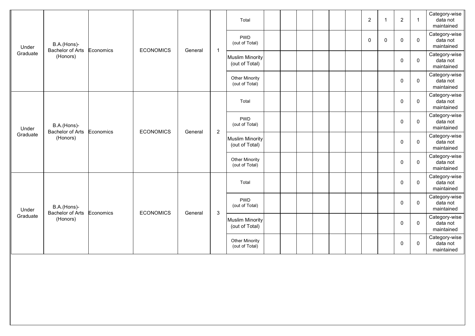|          |                                        |           |                  |         |                | Total                                    |  |  |  | $\boldsymbol{2}$ | $\overline{\mathbf{1}}$ | $\overline{2}$ | $\mathbf{1}$ | Category-wise<br>data not<br>maintained |
|----------|----------------------------------------|-----------|------------------|---------|----------------|------------------------------------------|--|--|--|------------------|-------------------------|----------------|--------------|-----------------------------------------|
| Under    | B.A.(Hons)-<br><b>Bachelor of Arts</b> | Economics | <b>ECONOMICS</b> | General | $\mathbf{1}$   | <b>PWD</b><br>(out of Total)             |  |  |  | $\mathbf 0$      | $\mathbf{0}$            | $\mathbf 0$    | $\mathbf 0$  | Category-wise<br>data not<br>maintained |
| Graduate | (Honors)                               |           |                  |         |                | <b>Muslim Minority</b><br>(out of Total) |  |  |  |                  |                         | $\mathbf 0$    | $\mathbf 0$  | Category-wise<br>data not<br>maintained |
|          |                                        |           |                  |         |                | Other Minority<br>(out of Total)         |  |  |  |                  |                         | 0              | $\mathbf 0$  | Category-wise<br>data not<br>maintained |
|          |                                        |           |                  |         |                | Total                                    |  |  |  |                  |                         | $\mathbf 0$    | $\mathbf 0$  | Category-wise<br>data not<br>maintained |
| Under    | B.A.(Hons)-<br><b>Bachelor of Arts</b> | Economics | <b>ECONOMICS</b> | General | $\overline{c}$ | <b>PWD</b><br>(out of Total)             |  |  |  |                  |                         | $\mathbf 0$    | $\mathbf 0$  | Category-wise<br>data not<br>maintained |
| Graduate | (Honors)                               |           |                  |         |                | <b>Muslim Minority</b><br>(out of Total) |  |  |  |                  |                         | $\mathbf 0$    | $\mathbf 0$  | Category-wise<br>data not<br>maintained |
|          |                                        |           |                  |         |                | <b>Other Minority</b><br>(out of Total)  |  |  |  |                  |                         | 0              | $\mathbf 0$  | Category-wise<br>data not<br>maintained |
|          |                                        |           |                  |         |                | Total                                    |  |  |  |                  |                         | $\mathbf 0$    | $\mathbf 0$  | Category-wise<br>data not<br>maintained |
| Under    | B.A.(Hons)-<br><b>Bachelor of Arts</b> | Economics | <b>ECONOMICS</b> | General | $\sqrt{3}$     | <b>PWD</b><br>(out of Total)             |  |  |  |                  |                         | $\mathbf 0$    | $\mathbf{0}$ | Category-wise<br>data not<br>maintained |
| Graduate | (Honors)                               |           |                  |         |                | <b>Muslim Minority</b><br>(out of Total) |  |  |  |                  |                         | $\mathbf 0$    | $\mathbf 0$  | Category-wise<br>data not<br>maintained |
|          |                                        |           |                  |         |                | <b>Other Minority</b><br>(out of Total)  |  |  |  |                  |                         | 0              | $\mathbf 0$  | Category-wise<br>data not<br>maintained |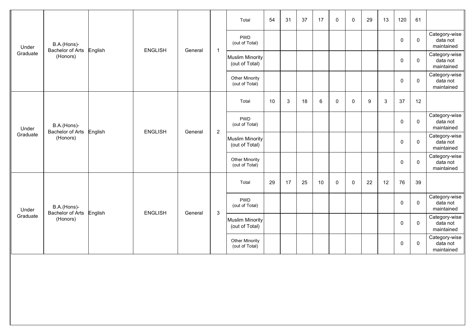|                   |                                        |         |                |         |                | Total                                    | 54 | 31 | 37 | 17 | $\mathbf 0$ | $\mathbf 0$ | 29               | 13 | 120         | 61          |                                         |
|-------------------|----------------------------------------|---------|----------------|---------|----------------|------------------------------------------|----|----|----|----|-------------|-------------|------------------|----|-------------|-------------|-----------------------------------------|
| Under             | B.A.(Hons)-<br><b>Bachelor of Arts</b> |         | <b>ENGLISH</b> | General | $\mathbf{1}$   | <b>PWD</b><br>(out of Total)             |    |    |    |    |             |             |                  |    | $\mathbf 0$ | $\mathbf 0$ | Category-wise<br>data not<br>maintained |
| Graduate          | (Honors)                               | English |                |         |                | <b>Muslim Minority</b><br>(out of Total) |    |    |    |    |             |             |                  |    | 0           | $\mathbf 0$ | Category-wise<br>data not<br>maintained |
|                   |                                        |         |                |         |                | <b>Other Minority</b><br>(out of Total)  |    |    |    |    |             |             |                  |    | 0           | 0           | Category-wise<br>data not<br>maintained |
|                   |                                        |         |                |         |                | Total                                    | 10 | 3  | 18 | 6  | $\mathbf 0$ | 0           | $\boldsymbol{9}$ | 3  | 37          | 12          |                                         |
| Under             | B.A.(Hons)-<br>Bachelor of Arts        | English | <b>ENGLISH</b> | General | $\overline{2}$ | <b>PWD</b><br>(out of Total)             |    |    |    |    |             |             |                  |    | $\mathbf 0$ | $\mathbf 0$ | Category-wise<br>data not<br>maintained |
| Graduate          | (Honors)                               |         |                |         |                | <b>Muslim Minority</b><br>(out of Total) |    |    |    |    |             |             |                  |    | $\mathbf 0$ | $\mathbf 0$ | Category-wise<br>data not<br>maintained |
|                   |                                        |         |                |         |                | <b>Other Minority</b><br>(out of Total)  |    |    |    |    |             |             |                  |    | 0           | $\mathbf 0$ | Category-wise<br>data not<br>maintained |
|                   |                                        |         |                |         |                | Total                                    | 29 | 17 | 25 | 10 | $\mathbf 0$ | 0           | 22               | 12 | 76          | 39          |                                         |
| Under<br>Graduate | B.A.(Hons)-<br>Bachelor of Arts        | English | <b>ENGLISH</b> | General | $\mathbf{3}$   | <b>PWD</b><br>(out of Total)             |    |    |    |    |             |             |                  |    | $\mathbf 0$ | $\mathbf 0$ | Category-wise<br>data not<br>maintained |
|                   | (Honors)                               |         |                |         |                | <b>Muslim Minority</b><br>(out of Total) |    |    |    |    |             |             |                  |    | $\mathbf 0$ | $\mathbf 0$ | Category-wise<br>data not<br>maintained |
|                   |                                        |         |                |         |                | Other Minority<br>(out of Total)         |    |    |    |    |             |             |                  |    | 0           | $\mathbf 0$ | Category-wise<br>data not<br>maintained |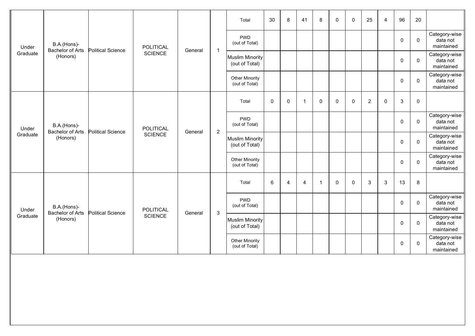|                   |                                        |                          |                  |         |                | Total                                    | 30          | 8              | 41             | $\bf 8$      | 0           | 0           | 25             | 4 | 96           | 20                  |                                         |
|-------------------|----------------------------------------|--------------------------|------------------|---------|----------------|------------------------------------------|-------------|----------------|----------------|--------------|-------------|-------------|----------------|---|--------------|---------------------|-----------------------------------------|
| Under             | B.A.(Hons)-<br><b>Bachelor of Arts</b> | <b>Political Science</b> | <b>POLITICAL</b> |         | $\mathbf{1}$   | <b>PWD</b><br>(out of Total)             |             |                |                |              |             |             |                |   | $\mathbf 0$  | $\mathbf 0$         | Category-wise<br>data not<br>maintained |
| Graduate          | (Honors)                               |                          | <b>SCIENCE</b>   | General |                | <b>Muslim Minority</b><br>(out of Total) |             |                |                |              |             |             |                |   | $\pmb{0}$    | $\mathbf 0$         | Category-wise<br>data not<br>maintained |
|                   |                                        |                          |                  |         |                | Other Minority<br>(out of Total)         |             |                |                |              |             |             |                |   | 0            | $\mathbf 0$         | Category-wise<br>data not<br>maintained |
|                   |                                        |                          |                  |         |                | Total                                    | $\mathbf 0$ | $\mathbf 0$    | $\overline{1}$ | $\mathbf 0$  | $\mathbf 0$ | $\mathbf 0$ | $\overline{c}$ | 0 | $\mathbf{3}$ | $\mathsf{O}\xspace$ |                                         |
| Under             | B.A.(Hons)-<br><b>Bachelor of Arts</b> | <b>Political Science</b> | <b>POLITICAL</b> | General | $\overline{2}$ | <b>PWD</b><br>(out of Total)             |             |                |                |              |             |             |                |   | $\mathbf 0$  | $\mathbf 0$         | Category-wise<br>data not<br>maintained |
| Graduate          | (Honors)                               |                          | <b>SCIENCE</b>   |         |                | <b>Muslim Minority</b><br>(out of Total) |             |                |                |              |             |             |                |   | $\mathbf 0$  | $\mathbf 0$         | Category-wise<br>data not<br>maintained |
|                   |                                        |                          |                  |         |                | <b>Other Minority</b><br>(out of Total)  |             |                |                |              |             |             |                |   | 0            | $\mathbf 0$         | Category-wise<br>data not<br>maintained |
|                   |                                        |                          |                  |         |                | Total                                    | 6           | $\overline{4}$ | $\overline{4}$ | $\mathbf{1}$ | $\mathbf 0$ | 0           | 3              | 3 | 13           | 8                   |                                         |
| Under<br>Graduate | B.A.(Hons)-<br><b>Bachelor of Arts</b> | <b>Political Science</b> | <b>POLITICAL</b> | General | $\mathbf{3}$   | <b>PWD</b><br>(out of Total)             |             |                |                |              |             |             |                |   | $\mathbf 0$  | $\mathbf 0$         | Category-wise<br>data not<br>maintained |
|                   | (Honors)                               |                          | <b>SCIENCE</b>   |         |                | <b>Muslim Minority</b><br>(out of Total) |             |                |                |              |             |             |                |   | 0            | $\mathbf 0$         | Category-wise<br>data not<br>maintained |
|                   |                                        |                          |                  |         |                | Other Minority<br>(out of Total)         |             |                |                |              |             |             |                |   | 0            | $\mathbf 0$         | Category-wise<br>data not<br>maintained |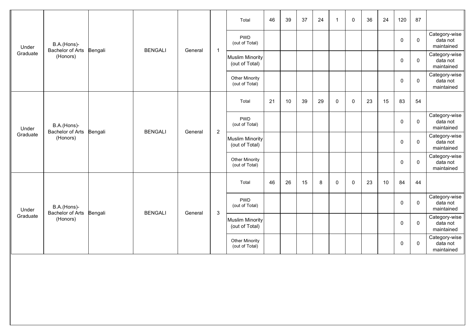|                   |                                        |         |                |         |                | Total                                    | 46 | 39 | 37 | 24 | $\overline{1}$ | 0           | 36 | 24 | 120         | 87          |                                         |
|-------------------|----------------------------------------|---------|----------------|---------|----------------|------------------------------------------|----|----|----|----|----------------|-------------|----|----|-------------|-------------|-----------------------------------------|
| Under             | B.A.(Hons)-<br><b>Bachelor of Arts</b> | Bengali | <b>BENGALI</b> | General | $\mathbf{1}$   | <b>PWD</b><br>(out of Total)             |    |    |    |    |                |             |    |    | $\mathbf 0$ | $\mathbf 0$ | Category-wise<br>data not<br>maintained |
| Graduate          | (Honors)                               |         |                |         |                | <b>Muslim Minority</b><br>(out of Total) |    |    |    |    |                |             |    |    | $\mathbf 0$ | $\mathbf 0$ | Category-wise<br>data not<br>maintained |
|                   |                                        |         |                |         |                | Other Minority<br>(out of Total)         |    |    |    |    |                |             |    |    | 0           | $\mathbf 0$ | Category-wise<br>data not<br>maintained |
|                   |                                        |         |                |         |                | Total                                    | 21 | 10 | 39 | 29 | $\mathbf 0$    | $\mathbf 0$ | 23 | 15 | 83          | 54          |                                         |
| Under             | B.A.(Hons)-<br><b>Bachelor of Arts</b> | Bengali | <b>BENGALI</b> | General | $\overline{2}$ | <b>PWD</b><br>(out of Total)             |    |    |    |    |                |             |    |    | 0           | $\mathbf 0$ | Category-wise<br>data not<br>maintained |
| Graduate          | (Honors)                               |         |                |         |                | <b>Muslim Minority</b><br>(out of Total) |    |    |    |    |                |             |    |    | $\mathbf 0$ | $\mathbf 0$ | Category-wise<br>data not<br>maintained |
|                   |                                        |         |                |         |                | <b>Other Minority</b><br>(out of Total)  |    |    |    |    |                |             |    |    | $\pmb{0}$   | $\mathbf 0$ | Category-wise<br>data not<br>maintained |
|                   |                                        |         |                |         |                | Total                                    | 46 | 26 | 15 | 8  | $\Omega$       | $\mathbf 0$ | 23 | 10 | 84          | 44          |                                         |
| Under<br>Graduate | B.A.(Hons)-<br><b>Bachelor of Arts</b> | Bengali | <b>BENGALI</b> | General | $\mathbf{3}$   | <b>PWD</b><br>(out of Total)             |    |    |    |    |                |             |    |    | $\mathbf 0$ | $\mathbf 0$ | Category-wise<br>data not<br>maintained |
|                   | (Honors)                               |         |                |         |                | <b>Muslim Minority</b><br>(out of Total) |    |    |    |    |                |             |    |    | $\mathbf 0$ | $\mathbf 0$ | Category-wise<br>data not<br>maintained |
|                   |                                        |         |                |         |                | Other Minority<br>(out of Total)         |    |    |    |    |                |             |    |    | 0           | $\mathbf 0$ | Category-wise<br>data not<br>maintained |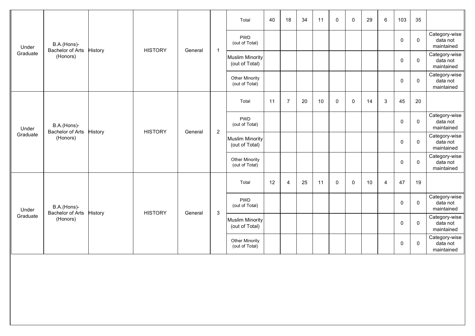|                   |                                        |                |                |         |                | Total                                    | 40 | 18             | 34 | 11 | $\mathbf 0$ | $\mathbf 0$ | 29 | 6              | 103         | 35           |                                         |
|-------------------|----------------------------------------|----------------|----------------|---------|----------------|------------------------------------------|----|----------------|----|----|-------------|-------------|----|----------------|-------------|--------------|-----------------------------------------|
| Under             | B.A.(Hons)-<br><b>Bachelor of Arts</b> | History        | <b>HISTORY</b> | General | $\mathbf{1}$   | <b>PWD</b><br>(out of Total)             |    |                |    |    |             |             |    |                | $\mathbf 0$ | $\mathbf 0$  | Category-wise<br>data not<br>maintained |
| Graduate          | (Honors)                               |                |                |         |                | <b>Muslim Minority</b><br>(out of Total) |    |                |    |    |             |             |    |                | 0           | $\mathbf 0$  | Category-wise<br>data not<br>maintained |
|                   |                                        |                |                |         |                | <b>Other Minority</b><br>(out of Total)  |    |                |    |    |             |             |    |                | 0           | 0            | Category-wise<br>data not<br>maintained |
|                   |                                        |                |                |         |                | Total                                    | 11 | $\overline{7}$ | 20 | 10 | $\mathbf 0$ | 0           | 14 | 3              | 45          | 20           |                                         |
| Under<br>Graduate | B.A.(Hons)-<br>Bachelor of Arts        | <b>History</b> | <b>HISTORY</b> | General | $\overline{2}$ | <b>PWD</b><br>(out of Total)             |    |                |    |    |             |             |    |                | $\mathbf 0$ | $\mathbf 0$  | Category-wise<br>data not<br>maintained |
|                   | (Honors)                               |                |                |         |                | <b>Muslim Minority</b><br>(out of Total) |    |                |    |    |             |             |    |                | $\mathbf 0$ | $\mathbf 0$  | Category-wise<br>data not<br>maintained |
|                   |                                        |                |                |         |                | <b>Other Minority</b><br>(out of Total)  |    |                |    |    |             |             |    |                | 0           | $\mathbf 0$  | Category-wise<br>data not<br>maintained |
|                   |                                        |                |                |         |                | Total                                    | 12 | $\overline{4}$ | 25 | 11 | $\mathbf 0$ | 0           | 10 | $\overline{4}$ | 47          | 19           |                                         |
| Under<br>Graduate | B.A.(Hons)-<br>Bachelor of Arts        | History        | <b>HISTORY</b> | General | $\mathbf{3}$   | <b>PWD</b><br>(out of Total)             |    |                |    |    |             |             |    |                | $\mathbf 0$ | $\mathbf 0$  | Category-wise<br>data not<br>maintained |
|                   | (Honors)                               |                |                |         |                | <b>Muslim Minority</b><br>(out of Total) |    |                |    |    |             |             |    |                | $\mathbf 0$ | $\mathbf{0}$ | Category-wise<br>data not<br>maintained |
|                   |                                        |                |                |         |                | Other Minority<br>(out of Total)         |    |                |    |    |             |             |    |                | 0           | $\mathbf 0$  | Category-wise<br>data not<br>maintained |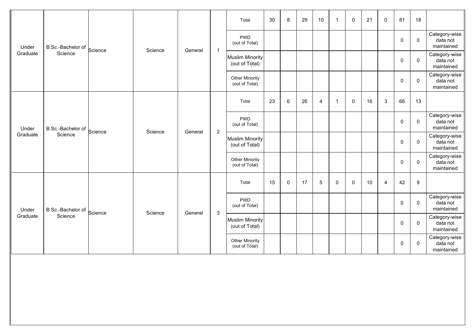|                   |                   |         |         |         |                | Total                                    | 30 | 8        | 29 | 10             | $\overline{1}$ | $\mathbf{0}$ | 21 | $\mathbf{0}$   | 81          | 18          |                                         |
|-------------------|-------------------|---------|---------|---------|----------------|------------------------------------------|----|----------|----|----------------|----------------|--------------|----|----------------|-------------|-------------|-----------------------------------------|
| Under             | B.Sc.-Bachelor of | Science | Science | General | $\mathbf{1}$   | <b>PWD</b><br>(out of Total)             |    |          |    |                |                |              |    |                | 0           | $\mathbf 0$ | Category-wise<br>data not<br>maintained |
| Graduate          | Science           |         |         |         |                | <b>Muslim Minority</b><br>(out of Total) |    |          |    |                |                |              |    |                | $\pmb{0}$   | $\mathbf 0$ | Category-wise<br>data not<br>maintained |
|                   |                   |         |         |         |                | Other Minority<br>(out of Total)         |    |          |    |                |                |              |    |                | $\mathbf 0$ | $\mathbf 0$ | Category-wise<br>data not<br>maintained |
|                   |                   |         |         |         |                | Total                                    | 23 | 6        | 26 | $\overline{4}$ | $\mathbf 1$    | $\mathbf 0$  | 16 | 3              | 66          | 13          |                                         |
| Under<br>Graduate | B.Sc.-Bachelor of | Science | Science | General | $\overline{2}$ | <b>PWD</b><br>(out of Total)             |    |          |    |                |                |              |    |                | $\mathbf 0$ | $\mathbf 0$ | Category-wise<br>data not<br>maintained |
|                   | Science           |         |         |         |                | <b>Muslim Minority</b><br>(out of Total) |    |          |    |                |                |              |    |                | $\mathbf 0$ | $\mathbf 0$ | Category-wise<br>data not<br>maintained |
|                   |                   |         |         |         |                | <b>Other Minority</b><br>(out of Total)  |    |          |    |                |                |              |    |                | $\pmb{0}$   | $\mathbf 0$ | Category-wise<br>data not<br>maintained |
|                   |                   |         |         |         |                | Total                                    | 15 | $\Omega$ | 17 | 5              | $\mathbf{0}$   | $\mathbf{0}$ | 10 | $\overline{4}$ | 42          | 9           |                                         |
| Under<br>Graduate | B.Sc.-Bachelor of | Science | Science | General | $\mathbf{3}$   | <b>PWD</b><br>(out of Total)             |    |          |    |                |                |              |    |                | 0           | $\mathbf 0$ | Category-wise<br>data not<br>maintained |
|                   | Science           |         |         |         |                | <b>Muslim Minority</b><br>(out of Total) |    |          |    |                |                |              |    |                | 0           | $\mathbf 0$ | Category-wise<br>data not<br>maintained |
|                   |                   |         |         |         |                | <b>Other Minority</b><br>(out of Total)  |    |          |    |                |                |              |    |                | 0           | $\mathbf 0$ | Category-wise<br>data not<br>maintained |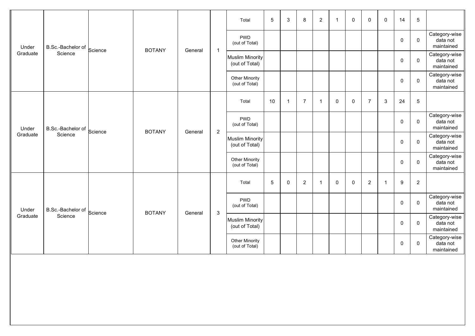|                   |                   |         |               |         |                           | Total                                    | 5  | 3            | 8              | $\overline{2}$ | $\overline{\mathbf{1}}$ | $\mathbf 0$ | $\mathbf 0$    | $\mathbf 0$ | 14          | $\sqrt{5}$     |                                         |
|-------------------|-------------------|---------|---------------|---------|---------------------------|------------------------------------------|----|--------------|----------------|----------------|-------------------------|-------------|----------------|-------------|-------------|----------------|-----------------------------------------|
| Under             | B.Sc.-Bachelor of | Science | <b>BOTANY</b> |         |                           | <b>PWD</b><br>(out of Total)             |    |              |                |                |                         |             |                |             | $\mathbf 0$ | $\mathbf 0$    | Category-wise<br>data not<br>maintained |
| Graduate          | Science           |         |               | General | $\mathbf{1}$              | <b>Muslim Minority</b><br>(out of Total) |    |              |                |                |                         |             |                |             | $\mathbf 0$ | $\mathbf 0$    | Category-wise<br>data not<br>maintained |
|                   |                   |         |               |         |                           | Other Minority<br>(out of Total)         |    |              |                |                |                         |             |                |             | $\mathsf 0$ | $\mathbf 0$    | Category-wise<br>data not<br>maintained |
|                   |                   |         |               |         |                           | Total                                    | 10 | $\mathbf{1}$ | $\overline{7}$ | $\mathbf{1}$   | 0                       | $\mathbf 0$ | $\overline{7}$ | 3           | 24          | $\sqrt{5}$     |                                         |
| Under             | B.Sc.-Bachelor of | Science | <b>BOTANY</b> | General | $\overline{2}$            | <b>PWD</b><br>(out of Total)             |    |              |                |                |                         |             |                |             | 0           | $\mathbf 0$    | Category-wise<br>data not<br>maintained |
| Graduate          | Science           |         |               |         |                           | <b>Muslim Minority</b><br>(out of Total) |    |              |                |                |                         |             |                |             | $\pmb{0}$   | $\mathbf 0$    | Category-wise<br>data not<br>maintained |
|                   |                   |         |               |         |                           | <b>Other Minority</b><br>(out of Total)  |    |              |                |                |                         |             |                |             | $\pmb{0}$   | $\mathbf 0$    | Category-wise<br>data not<br>maintained |
|                   |                   |         |               |         |                           | Total                                    | 5  | $\mathbf 0$  | $\overline{2}$ | $\mathbf 1$    | 0                       | 0           | $\overline{2}$ | -1          | 9           | $\overline{2}$ |                                         |
| Under<br>Graduate | B.Sc.-Bachelor of | Science | <b>BOTANY</b> | General | $\ensuremath{\mathsf{3}}$ | <b>PWD</b><br>(out of Total)             |    |              |                |                |                         |             |                |             | $\mathbf 0$ | $\mathbf 0$    | Category-wise<br>data not<br>maintained |
|                   | Science           |         |               |         |                           | <b>Muslim Minority</b><br>(out of Total) |    |              |                |                |                         |             |                |             | 0           | $\mathbf 0$    | Category-wise<br>data not<br>maintained |
|                   |                   |         |               |         |                           | <b>Other Minority</b><br>(out of Total)  |    |              |                |                |                         |             |                |             | 0           | 0              | Category-wise<br>data not<br>maintained |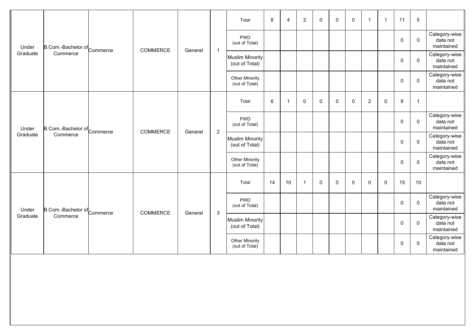|          |                             |          |         |                           | Total                                    | 8  | $\overline{4}$ | $\overline{2}$ | 0 | 0           | $\mathbf 0$ | $\overline{1}$ | $\overline{1}$ | 11          | $\sqrt{5}$     |                                         |
|----------|-----------------------------|----------|---------|---------------------------|------------------------------------------|----|----------------|----------------|---|-------------|-------------|----------------|----------------|-------------|----------------|-----------------------------------------|
| Under    | B.Com.-Bachelor of Commerce | COMMERCE | General | $\overline{1}$            | <b>PWD</b><br>(out of Total)             |    |                |                |   |             |             |                |                | $\mathbf 0$ | $\mathbf 0$    | Category-wise<br>data not<br>maintained |
| Graduate | Commerce                    |          |         |                           | Muslim Minority<br>(out of Total)        |    |                |                |   |             |             |                |                | $\pmb{0}$   | $\mathbf 0$    | Category-wise<br>data not<br>maintained |
|          |                             |          |         |                           | Other Minority<br>(out of Total)         |    |                |                |   |             |             |                |                | 0           | $\mathbf 0$    | Category-wise<br>data not<br>maintained |
|          |                             |          |         |                           | Total                                    | 6  | $\overline{1}$ | $\pmb{0}$      | 0 | $\mathbf 0$ | $\mathbf 0$ | $\overline{2}$ | $\mathbf 0$    | $\bf 8$     | $\overline{1}$ |                                         |
| Under    | B.Com.-Bachelor of Commerce | COMMERCE | General | $\sqrt{2}$                | <b>PWD</b><br>(out of Total)             |    |                |                |   |             |             |                |                | $\mathbf 0$ | $\mathbf 0$    | Category-wise<br>data not<br>maintained |
| Graduate | Commerce                    |          |         |                           | <b>Muslim Minority</b><br>(out of Total) |    |                |                |   |             |             |                |                | $\mathbf 0$ | $\mathbf 0$    | Category-wise<br>data not<br>maintained |
|          |                             |          |         |                           | <b>Other Minority</b><br>(out of Total)  |    |                |                |   |             |             |                |                | 0           | $\mathbf 0$    | Category-wise<br>data not<br>maintained |
|          |                             |          |         |                           | Total                                    | 14 | 10             | $\overline{1}$ | 0 | $\mathbf 0$ | $\mathbf 0$ | $\mathbf 0$    | $\mathbf{0}$   | 15          | 10             |                                         |
| Under    | B.Com.-Bachelor of Commerce | COMMERCE | General | $\ensuremath{\mathsf{3}}$ | <b>PWD</b><br>(out of Total)             |    |                |                |   |             |             |                |                | 0           | $\mathbf 0$    | Category-wise<br>data not<br>maintained |
| Graduate | Commerce                    |          |         |                           | <b>Muslim Minority</b><br>(out of Total) |    |                |                |   |             |             |                |                | 0           | $\mathbf{0}$   | Category-wise<br>data not<br>maintained |
|          |                             |          |         |                           | <b>Other Minority</b><br>(out of Total)  |    |                |                |   |             |             |                |                | 0           | $\mathbf 0$    | Category-wise<br>data not<br>maintained |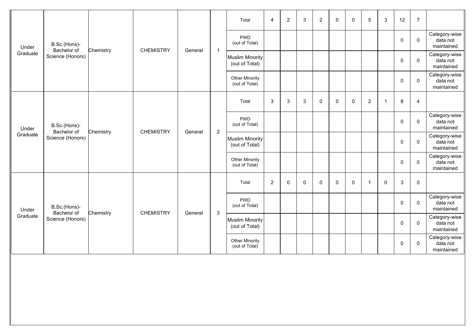|                   |                             |           |                  |         |                | Total                                    | $\overline{4}$ | $\overline{2}$ | $\mathsf 3$ | $\sqrt{2}$  | $\mathbf 0$ | $\mathbf 0$ | $\overline{5}$ | 3  | 12           | $\overline{7}$ |                                         |
|-------------------|-----------------------------|-----------|------------------|---------|----------------|------------------------------------------|----------------|----------------|-------------|-------------|-------------|-------------|----------------|----|--------------|----------------|-----------------------------------------|
| Under             | B.Sc.(Hons)-<br>Bachelor of | Chemistry | <b>CHEMISTRY</b> | General | $\mathbf{1}$   | <b>PWD</b><br>(out of Total)             |                |                |             |             |             |             |                |    | $\mathbf 0$  | $\mathbf{0}$   | Category-wise<br>data not<br>maintained |
| Graduate          | Science (Honors)            |           |                  |         |                | <b>Muslim Minority</b><br>(out of Total) |                |                |             |             |             |             |                |    | $\mathbf 0$  | $\mathbf 0$    | Category-wise<br>data not<br>maintained |
|                   |                             |           |                  |         |                | Other Minority<br>(out of Total)         |                |                |             |             |             |             |                |    | 0            | $\mathbf 0$    | Category-wise<br>data not<br>maintained |
|                   |                             |           |                  |         |                | Total                                    | 3              | 3              | 3           | 0           | $\Omega$    | $\mathbf 0$ | $\overline{2}$ | -1 | 8            | 4              |                                         |
| Under<br>Graduate | B.Sc.(Hons)-<br>Bachelor of | Chemistry | <b>CHEMISTRY</b> | General | $\overline{2}$ | <b>PWD</b><br>(out of Total)             |                |                |             |             |             |             |                |    | $\mathbf 0$  | $\mathbf 0$    | Category-wise<br>data not<br>maintained |
|                   | Science (Honors)            |           |                  |         |                | <b>Muslim Minority</b><br>(out of Total) |                |                |             |             |             |             |                |    | $\mathbf 0$  | $\mathbf 0$    | Category-wise<br>data not<br>maintained |
|                   |                             |           |                  |         |                | <b>Other Minority</b><br>(out of Total)  |                |                |             |             |             |             |                |    | 0            | $\mathbf 0$    | Category-wise<br>data not<br>maintained |
|                   |                             |           |                  |         |                | Total                                    | $\overline{2}$ | 0              | $\mathbf 0$ | $\mathbf 0$ | $\mathbf 0$ | $\mathbf 0$ | $\mathbf{1}$   | 0  | $\mathbf{3}$ | $\mathbf 0$    |                                         |
| Under<br>Graduate | B.Sc.(Hons)-<br>Bachelor of | Chemistry | <b>CHEMISTRY</b> | General | $\mathbf{3}$   | <b>PWD</b><br>(out of Total)             |                |                |             |             |             |             |                |    | $\mathbf 0$  | $\mathbf{0}$   | Category-wise<br>data not<br>maintained |
|                   | Science (Honors)            |           |                  |         |                | <b>Muslim Minority</b><br>(out of Total) |                |                |             |             |             |             |                |    | $\mathbf 0$  | $\mathbf 0$    | Category-wise<br>data not<br>maintained |
|                   |                             |           |                  |         |                | Other Minority<br>(out of Total)         |                |                |             |             |             |             |                |    | 0            | $\mathbf 0$    | Category-wise<br>data not<br>maintained |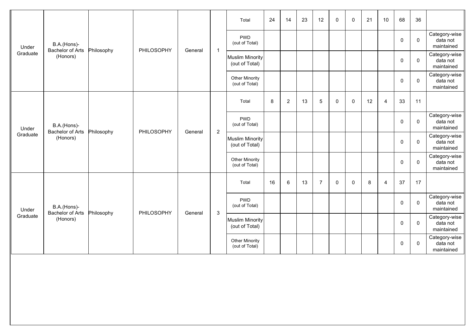|                   |                                        |            |            |         |                | Total                                    | 24 | 14             | 23 | 12             | $\mathbf 0$ | 0           | 21 | 10             | 68          | 36          |                                         |
|-------------------|----------------------------------------|------------|------------|---------|----------------|------------------------------------------|----|----------------|----|----------------|-------------|-------------|----|----------------|-------------|-------------|-----------------------------------------|
| Under             | B.A.(Hons)-<br><b>Bachelor of Arts</b> | Philosophy | PHILOSOPHY | General | $\mathbf{1}$   | <b>PWD</b><br>(out of Total)             |    |                |    |                |             |             |    |                | $\mathbf 0$ | $\mathbf 0$ | Category-wise<br>data not<br>maintained |
| Graduate          | (Honors)                               |            |            |         |                | <b>Muslim Minority</b><br>(out of Total) |    |                |    |                |             |             |    |                | $\mathbf 0$ | $\mathbf 0$ | Category-wise<br>data not<br>maintained |
|                   |                                        |            |            |         |                | <b>Other Minority</b><br>(out of Total)  |    |                |    |                |             |             |    |                | 0           | $\mathbf 0$ | Category-wise<br>data not<br>maintained |
|                   |                                        |            |            |         |                | Total                                    | 8  | $\overline{2}$ | 13 | 5              | $\Omega$    | $\mathbf 0$ | 12 | 4              | 33          | 11          |                                         |
| Under             | B.A.(Hons)-<br>Bachelor of Arts        | Philosophy | PHILOSOPHY | General | $\overline{2}$ | <b>PWD</b><br>(out of Total)             |    |                |    |                |             |             |    |                | $\mathbf 0$ | $\mathbf 0$ | Category-wise<br>data not<br>maintained |
| Graduate          | (Honors)                               |            |            |         |                | Muslim Minority<br>(out of Total)        |    |                |    |                |             |             |    |                | $\mathbf 0$ | $\mathbf 0$ | Category-wise<br>data not<br>maintained |
|                   |                                        |            |            |         |                | <b>Other Minority</b><br>(out of Total)  |    |                |    |                |             |             |    |                | 0           | $\mathbf 0$ | Category-wise<br>data not<br>maintained |
|                   |                                        |            |            |         |                | Total                                    | 16 | 6              | 13 | $\overline{7}$ | 0           | 0           | 8  | $\overline{A}$ | 37          | 17          |                                         |
| Under<br>Graduate | B.A.(Hons)-<br><b>Bachelor of Arts</b> | Philosophy | PHILOSOPHY | General | 3              | <b>PWD</b><br>(out of Total)             |    |                |    |                |             |             |    |                | $\mathbf 0$ | $\mathbf 0$ | Category-wise<br>data not<br>maintained |
|                   | (Honors)                               |            |            |         |                | <b>Muslim Minority</b><br>(out of Total) |    |                |    |                |             |             |    |                | $\mathbf 0$ | $\mathbf 0$ | Category-wise<br>data not<br>maintained |
|                   |                                        |            |            |         |                | <b>Other Minority</b><br>(out of Total)  |    |                |    |                |             |             |    |                | 0           | $\mathbf 0$ | Category-wise<br>data not<br>maintained |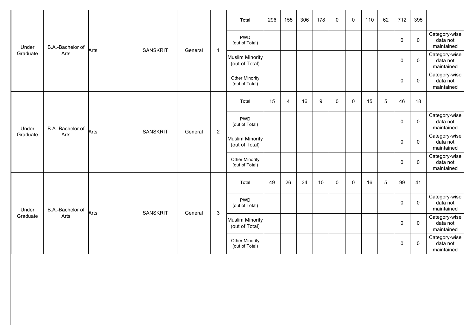|                   |                  |      |                 |         |                | Total                                    | 296 | 155            | 306 | 178 | $\mathbf 0$  | $\mathbf{0}$ | 110 | 62 | 712         | 395         |                                         |
|-------------------|------------------|------|-----------------|---------|----------------|------------------------------------------|-----|----------------|-----|-----|--------------|--------------|-----|----|-------------|-------------|-----------------------------------------|
| Under             | B.A.-Bachelor of | Arts | <b>SANSKRIT</b> | General | $\mathbf{1}$   | <b>PWD</b><br>(out of Total)             |     |                |     |     |              |              |     |    | 0           | $\mathbf 0$ | Category-wise<br>data not<br>maintained |
| Graduate          | Arts             |      |                 |         |                | <b>Muslim Minority</b><br>(out of Total) |     |                |     |     |              |              |     |    | $\pmb{0}$   | $\mathbf 0$ | Category-wise<br>data not<br>maintained |
|                   |                  |      |                 |         |                | Other Minority<br>(out of Total)         |     |                |     |     |              |              |     |    | 0           | $\mathbf 0$ | Category-wise<br>data not<br>maintained |
|                   |                  |      |                 |         |                | Total                                    | 15  | $\overline{4}$ | 16  | 9   | $\mathbf 0$  | 0            | 15  | 5  | 46          | 18          |                                         |
| Under<br>Graduate | B.A.-Bachelor of | Arts | <b>SANSKRIT</b> | General | $\overline{2}$ | <b>PWD</b><br>(out of Total)             |     |                |     |     |              |              |     |    | $\mathbf 0$ | $\mathbf 0$ | Category-wise<br>data not<br>maintained |
|                   | Arts             |      |                 |         |                | <b>Muslim Minority</b><br>(out of Total) |     |                |     |     |              |              |     |    | 0           | $\mathbf 0$ | Category-wise<br>data not<br>maintained |
|                   |                  |      |                 |         |                | Other Minority<br>(out of Total)         |     |                |     |     |              |              |     |    | $\pmb{0}$   | $\mathbf 0$ | Category-wise<br>data not<br>maintained |
|                   |                  |      |                 |         |                | Total                                    | 49  | 26             | 34  | 10  | $\mathbf{0}$ | $\mathbf 0$  | 16  | 5  | 99          | 41          |                                         |
| Under<br>Graduate | B.A.-Bachelor of | Arts | <b>SANSKRIT</b> | General | $\mathbf{3}$   | <b>PWD</b><br>(out of Total)             |     |                |     |     |              |              |     |    | 0           | $\mathbf 0$ | Category-wise<br>data not<br>maintained |
|                   | Arts             |      |                 |         |                | <b>Muslim Minority</b><br>(out of Total) |     |                |     |     |              |              |     |    | $\mathbf 0$ | $\mathbf 0$ | Category-wise<br>data not<br>maintained |
|                   |                  |      |                 |         |                | <b>Other Minority</b><br>(out of Total)  |     |                |     |     |              |              |     |    | 0           | 0           | Category-wise<br>data not<br>maintained |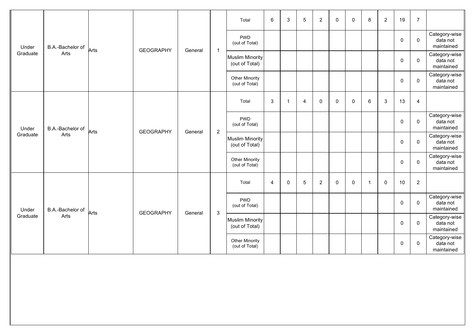|                   |                  |      |                  |         |                | Total                                    | 6              | 3           | $\sqrt{5}$ | $\overline{2}$ | $\mathbf 0$ | $\mathbf 0$ | 8              | $\overline{2}$ | 19          | $\overline{7}$   |                                         |
|-------------------|------------------|------|------------------|---------|----------------|------------------------------------------|----------------|-------------|------------|----------------|-------------|-------------|----------------|----------------|-------------|------------------|-----------------------------------------|
| Under             | B.A.-Bachelor of | Arts | <b>GEOGRAPHY</b> | General |                | <b>PWD</b><br>(out of Total)             |                |             |            |                |             |             |                |                | $\mathbf 0$ | $\mathbf 0$      | Category-wise<br>data not<br>maintained |
| Graduate          | Arts             |      |                  |         | $\overline{1}$ | <b>Muslim Minority</b><br>(out of Total) |                |             |            |                |             |             |                |                | $\mathbf 0$ | $\mathbf 0$      | Category-wise<br>data not<br>maintained |
|                   |                  |      |                  |         |                | Other Minority<br>(out of Total)         |                |             |            |                |             |             |                |                | 0           | 0                | Category-wise<br>data not<br>maintained |
|                   |                  |      |                  |         |                | Total                                    | $\mathbf{3}$   | -1          | 4          | 0              | $\mathbf 0$ | $\mathbf 0$ | $\,6\,$        | $\mathbf{3}$   | 13          | $\overline{4}$   |                                         |
| Under             | B.A.-Bachelor of | Arts | <b>GEOGRAPHY</b> | General | $\overline{2}$ | <b>PWD</b><br>(out of Total)             |                |             |            |                |             |             |                |                | $\mathbf 0$ | $\pmb{0}$        | Category-wise<br>data not<br>maintained |
| Graduate          | Arts             |      |                  |         |                | <b>Muslim Minority</b><br>(out of Total) |                |             |            |                |             |             |                |                | $\mathbf 0$ | 0                | Category-wise<br>data not<br>maintained |
|                   |                  |      |                  |         |                | <b>Other Minority</b><br>(out of Total)  |                |             |            |                |             |             |                |                | $\mathbf 0$ | $\mathbf 0$      | Category-wise<br>data not<br>maintained |
|                   |                  |      |                  |         |                | Total                                    | $\overline{4}$ | $\mathbf 0$ | $\sqrt{5}$ | $\overline{2}$ | $\mathbf 0$ | $\mathbf 0$ | $\overline{1}$ | $\mathbf 0$    | 10          | $\boldsymbol{2}$ |                                         |
| Under<br>Graduate | B.A.-Bachelor of | Arts | <b>GEOGRAPHY</b> | General | $\mathbf{3}$   | <b>PWD</b><br>(out of Total)             |                |             |            |                |             |             |                |                | $\mathbf 0$ | $\mathbf 0$      | Category-wise<br>data not<br>maintained |
|                   | Arts             |      |                  |         |                | <b>Muslim Minority</b><br>(out of Total) |                |             |            |                |             |             |                |                | $\mathbf 0$ | $\mathbf 0$      | Category-wise<br>data not<br>maintained |
|                   |                  |      |                  |         |                | <b>Other Minority</b><br>(out of Total)  |                |             |            |                |             |             |                |                | 0           | $\mathbf 0$      | Category-wise<br>data not<br>maintained |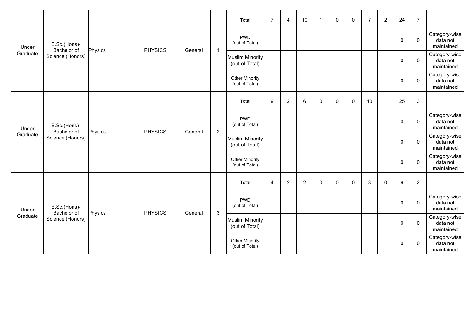|                   |                             |         |                |         |                | Total                                    | $\overline{7}$ | $\overline{4}$ | 10             | $\overline{1}$ | $\mathbf 0$ | $\mathbf 0$ | $\overline{7}$ | $\overline{c}$ | 24          | $\overline{7}$ |                                         |
|-------------------|-----------------------------|---------|----------------|---------|----------------|------------------------------------------|----------------|----------------|----------------|----------------|-------------|-------------|----------------|----------------|-------------|----------------|-----------------------------------------|
| Under             | B.Sc.(Hons)-<br>Bachelor of | Physics | <b>PHYSICS</b> | General | $\mathbf{1}$   | <b>PWD</b><br>(out of Total)             |                |                |                |                |             |             |                |                | $\mathbf 0$ | $\mathbf 0$    | Category-wise<br>data not<br>maintained |
| Graduate          | Science (Honors)            |         |                |         |                | <b>Muslim Minority</b><br>(out of Total) |                |                |                |                |             |             |                |                | 0           | $\mathbf 0$    | Category-wise<br>data not<br>maintained |
|                   |                             |         |                |         |                | <b>Other Minority</b><br>(out of Total)  |                |                |                |                |             |             |                |                | 0           | 0              | Category-wise<br>data not<br>maintained |
|                   |                             |         |                |         |                | Total                                    | 9              | $\sqrt{2}$     | 6              | 0              | $\mathbf 0$ | 0           | 10             | $\overline{1}$ | 25          | $\mathbf{3}$   |                                         |
| Under             | B.Sc.(Hons)-<br>Bachelor of | Physics | <b>PHYSICS</b> | General | $\overline{2}$ | <b>PWD</b><br>(out of Total)             |                |                |                |                |             |             |                |                | $\mathbf 0$ | $\mathbf 0$    | Category-wise<br>data not<br>maintained |
| Graduate          | Science (Honors)            |         |                |         |                | <b>Muslim Minority</b><br>(out of Total) |                |                |                |                |             |             |                |                | $\mathbf 0$ | $\mathbf 0$    | Category-wise<br>data not<br>maintained |
|                   |                             |         |                |         |                | <b>Other Minority</b><br>(out of Total)  |                |                |                |                |             |             |                |                | 0           | $\mathbf 0$    | Category-wise<br>data not<br>maintained |
|                   |                             |         |                |         |                | Total                                    | 4              | $\overline{2}$ | $\overline{2}$ | $\mathbf 0$    | $\mathbf 0$ | 0           | $\mathsf 3$    | $\mathbf{0}$   | 9           | $\overline{2}$ |                                         |
| Under<br>Graduate | B.Sc.(Hons)-<br>Bachelor of | Physics | <b>PHYSICS</b> | General | $\mathbf{3}$   | <b>PWD</b><br>(out of Total)             |                |                |                |                |             |             |                |                | $\mathbf 0$ | $\mathbf 0$    | Category-wise<br>data not<br>maintained |
|                   | Science (Honors)            |         |                |         |                | <b>Muslim Minority</b><br>(out of Total) |                |                |                |                |             |             |                |                | $\mathbf 0$ | $\mathbf 0$    | Category-wise<br>data not<br>maintained |
|                   |                             |         |                |         |                | Other Minority<br>(out of Total)         |                |                |                |                |             |             |                |                | 0           | $\mathbf 0$    | Category-wise<br>data not<br>maintained |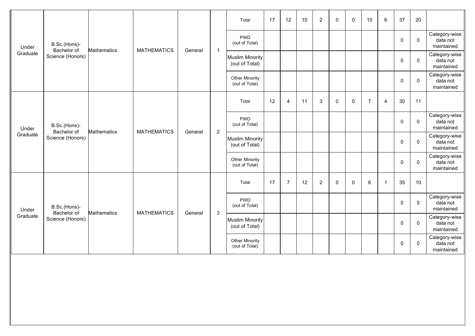|                   |                             |                    |                    |         |                | Total                                    | 17 | 12             | 10 | $\sqrt{2}$     | $\mathbf 0$ | $\mathbf 0$ | 10             | 6  | 37          | 20           |                                         |
|-------------------|-----------------------------|--------------------|--------------------|---------|----------------|------------------------------------------|----|----------------|----|----------------|-------------|-------------|----------------|----|-------------|--------------|-----------------------------------------|
| Under             | B.Sc.(Hons)-<br>Bachelor of | <b>Mathematics</b> | <b>MATHEMATICS</b> | General | $\mathbf{1}$   | <b>PWD</b><br>(out of Total)             |    |                |    |                |             |             |                |    | $\mathbf 0$ | $\mathbf{0}$ | Category-wise<br>data not<br>maintained |
| Graduate          | Science (Honors)            |                    |                    |         |                | <b>Muslim Minority</b><br>(out of Total) |    |                |    |                |             |             |                |    | $\mathbf 0$ | $\mathbf 0$  | Category-wise<br>data not<br>maintained |
|                   |                             |                    |                    |         |                | Other Minority<br>(out of Total)         |    |                |    |                |             |             |                |    | 0           | $\mathbf 0$  | Category-wise<br>data not<br>maintained |
|                   |                             |                    |                    |         |                | Total                                    | 12 | $\overline{4}$ | 11 | 3              | $\Omega$    | 0           | $\overline{7}$ | 4  | 30          | 11           |                                         |
| Under<br>Graduate | B.Sc.(Hons)-<br>Bachelor of | <b>Mathematics</b> | <b>MATHEMATICS</b> | General | $\overline{2}$ | <b>PWD</b><br>(out of Total)             |    |                |    |                |             |             |                |    | $\mathbf 0$ | $\mathbf 0$  | Category-wise<br>data not<br>maintained |
|                   | Science (Honors)            |                    |                    |         |                | <b>Muslim Minority</b><br>(out of Total) |    |                |    |                |             |             |                |    | 0           | $\mathbf 0$  | Category-wise<br>data not<br>maintained |
|                   |                             |                    |                    |         |                | <b>Other Minority</b><br>(out of Total)  |    |                |    |                |             |             |                |    | 0           | $\mathbf 0$  | Category-wise<br>data not<br>maintained |
|                   |                             |                    |                    |         |                | Total                                    | 17 | $\overline{7}$ | 12 | $\overline{c}$ | 0           | $\mathbf 0$ | 6              | -1 | 35          | 10           |                                         |
| Under             | B.Sc.(Hons)-<br>Bachelor of | <b>Mathematics</b> | <b>MATHEMATICS</b> | General | $\mathbf{3}$   | <b>PWD</b><br>(out of Total)             |    |                |    |                |             |             |                |    | $\mathbf 0$ | $\mathbf{0}$ | Category-wise<br>data not<br>maintained |
| Graduate          | Science (Honors)            |                    |                    |         |                | <b>Muslim Minority</b><br>(out of Total) |    |                |    |                |             |             |                |    | $\mathbf 0$ | $\mathbf 0$  | Category-wise<br>data not<br>maintained |
|                   |                             |                    |                    |         |                | Other Minority<br>(out of Total)         |    |                |    |                |             |             |                |    | 0           | $\mathbf 0$  | Category-wise<br>data not<br>maintained |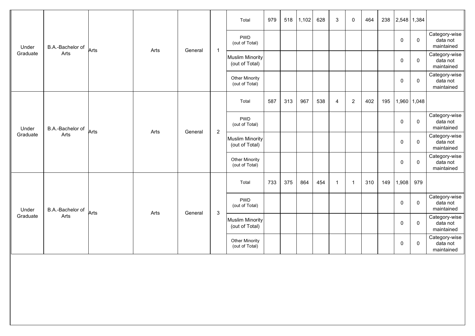|                   |                  |      |      |         |                | Total                                    | 979 | 518 | 1,102 | 628 | 3              | $\mathbf 0$    | 464 | 238 |             | 2,548 1,384   |                                         |
|-------------------|------------------|------|------|---------|----------------|------------------------------------------|-----|-----|-------|-----|----------------|----------------|-----|-----|-------------|---------------|-----------------------------------------|
| Under             | B.A.-Bachelor of | Arts | Arts | General | $\mathbf{1}$   | <b>PWD</b><br>(out of Total)             |     |     |       |     |                |                |     |     | 0           | $\mathbf 0$   | Category-wise<br>data not<br>maintained |
| Graduate          | Arts             |      |      |         |                | Muslim Minority<br>(out of Total)        |     |     |       |     |                |                |     |     | $\mathbf 0$ | $\mathbf 0$   | Category-wise<br>data not<br>maintained |
|                   |                  |      |      |         |                | Other Minority<br>(out of Total)         |     |     |       |     |                |                |     |     | 0           | $\mathbf 0$   | Category-wise<br>data not<br>maintained |
|                   |                  |      |      |         |                | Total                                    | 587 | 313 | 967   | 538 | $\overline{4}$ | $\overline{2}$ | 402 | 195 |             | 1,960   1,048 |                                         |
| Under<br>Graduate | B.A.-Bachelor of | Arts | Arts | General | $\overline{2}$ | <b>PWD</b><br>(out of Total)             |     |     |       |     |                |                |     |     | 0           | $\mathbf 0$   | Category-wise<br>data not<br>maintained |
|                   | Arts             |      |      |         |                | <b>Muslim Minority</b><br>(out of Total) |     |     |       |     |                |                |     |     | 0           | $\mathbf 0$   | Category-wise<br>data not<br>maintained |
|                   |                  |      |      |         |                | Other Minority<br>(out of Total)         |     |     |       |     |                |                |     |     | 0           | $\mathbf 0$   | Category-wise<br>data not<br>maintained |
|                   |                  |      |      |         |                | Total                                    | 733 | 375 | 864   | 454 | $\overline{1}$ | $\overline{1}$ | 310 | 149 | 1,908       | 979           |                                         |
| Under             | B.A.-Bachelor of | Arts | Arts | General | $\mathbf{3}$   | <b>PWD</b><br>(out of Total)             |     |     |       |     |                |                |     |     | 0           | $\mathbf 0$   | Category-wise<br>data not<br>maintained |
| Graduate          | Arts             |      |      |         |                | Muslim Minority<br>(out of Total)        |     |     |       |     |                |                |     |     | 0           | $\mathbf 0$   | Category-wise<br>data not<br>maintained |
|                   |                  |      |      |         |                | <b>Other Minority</b><br>(out of Total)  |     |     |       |     |                |                |     |     | 0           | 0             | Category-wise<br>data not<br>maintained |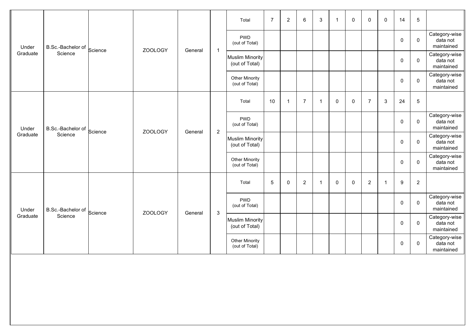|                   |                   |         |                |         |                           | Total                                    | $\overline{7}$ | $\overline{2}$ | 6              | 3            | $\overline{\mathbf{1}}$ | $\mathbf 0$ | 0              | $\mathbf 0$             | 14          | $\sqrt{5}$  |                                         |
|-------------------|-------------------|---------|----------------|---------|---------------------------|------------------------------------------|----------------|----------------|----------------|--------------|-------------------------|-------------|----------------|-------------------------|-------------|-------------|-----------------------------------------|
| Under             | B.Sc.-Bachelor of | Science | ZOOLOGY        | General | $\overline{1}$            | <b>PWD</b><br>(out of Total)             |                |                |                |              |                         |             |                |                         | $\mathbf 0$ | $\mathbf 0$ | Category-wise<br>data not<br>maintained |
| Graduate          | Science           |         |                |         |                           | Muslim Minority<br>(out of Total)        |                |                |                |              |                         |             |                |                         | $\pmb{0}$   | $\mathbf 0$ | Category-wise<br>data not<br>maintained |
|                   |                   |         |                |         |                           | Other Minority<br>(out of Total)         |                |                |                |              |                         |             |                |                         | 0           | $\mathbf 0$ | Category-wise<br>data not<br>maintained |
|                   |                   |         |                |         |                           | Total                                    | 10             | $\mathbf{1}$   | $\overline{7}$ | $\mathbf{1}$ | $\mathbf 0$             | $\mathbf 0$ | $\overline{7}$ | 3                       | 24          | $\mathbf 5$ |                                         |
| Under<br>Graduate | B.Sc.-Bachelor of | Science | ZOOLOGY        | General | $\sqrt{2}$                | <b>PWD</b><br>(out of Total)             |                |                |                |              |                         |             |                |                         | $\mathbf 0$ | $\mathbf 0$ | Category-wise<br>data not<br>maintained |
|                   | Science           |         |                |         |                           | <b>Muslim Minority</b><br>(out of Total) |                |                |                |              |                         |             |                |                         | 0           | $\mathbf 0$ | Category-wise<br>data not<br>maintained |
|                   |                   |         |                |         |                           | <b>Other Minority</b><br>(out of Total)  |                |                |                |              |                         |             |                |                         | 0           | $\mathbf 0$ | Category-wise<br>data not<br>maintained |
|                   |                   |         |                |         |                           | Total                                    | $\sqrt{5}$     | $\mathbf 0$    | $\overline{2}$ | $\mathbf{1}$ | $\mathbf 0$             | $\mathbf 0$ | $\overline{2}$ | $\overline{\mathbf{1}}$ | 9           | $\sqrt{2}$  |                                         |
| Under             | B.Sc.-Bachelor of | Science | <b>ZOOLOGY</b> | General | $\ensuremath{\mathsf{3}}$ | <b>PWD</b><br>(out of Total)             |                |                |                |              |                         |             |                |                         | $\mathbf 0$ | $\mathbf 0$ | Category-wise<br>data not<br>maintained |
| Graduate          | Science           |         |                |         |                           | <b>Muslim Minority</b><br>(out of Total) |                |                |                |              |                         |             |                |                         | 0           | $\mathbf 0$ | Category-wise<br>data not<br>maintained |
|                   |                   |         |                |         |                           | Other Minority<br>(out of Total)         |                |                |                |              |                         |             |                |                         | 0           | $\mathbf 0$ | Category-wise<br>data not<br>maintained |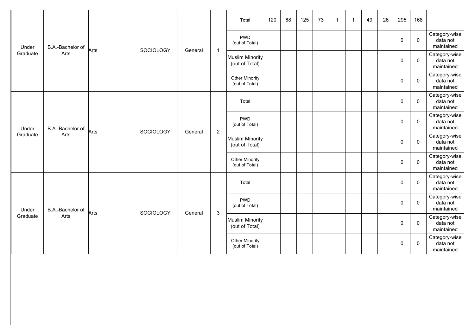|                   |                  |      |           |         |                | Total                                    | 120 | 68 | 125 | 73 | -1 | $\overline{1}$ | 49 | 26 | 295         | 168          |                                         |
|-------------------|------------------|------|-----------|---------|----------------|------------------------------------------|-----|----|-----|----|----|----------------|----|----|-------------|--------------|-----------------------------------------|
| Under             | B.A.-Bachelor of | Arts | SOCIOLOGY | General | $\mathbf{1}$   | <b>PWD</b><br>(out of Total)             |     |    |     |    |    |                |    |    | 0           | $\mathbf 0$  | Category-wise<br>data not<br>maintained |
| Graduate          | Arts             |      |           |         |                | <b>Muslim Minority</b><br>(out of Total) |     |    |     |    |    |                |    |    | $\pmb{0}$   | $\mathbf 0$  | Category-wise<br>data not<br>maintained |
|                   |                  |      |           |         |                | Other Minority<br>(out of Total)         |     |    |     |    |    |                |    |    | $\mathbf 0$ | $\mathbf 0$  | Category-wise<br>data not<br>maintained |
|                   |                  |      |           |         |                | Total                                    |     |    |     |    |    |                |    |    | 0           | $\mathbf 0$  | Category-wise<br>data not<br>maintained |
| Under<br>Graduate | B.A.-Bachelor of | Arts | SOCIOLOGY | General | $\overline{2}$ | <b>PWD</b><br>(out of Total)             |     |    |     |    |    |                |    |    | $\mathbf 0$ | $\mathbf 0$  | Category-wise<br>data not<br>maintained |
|                   | Arts             |      |           |         |                | <b>Muslim Minority</b><br>(out of Total) |     |    |     |    |    |                |    |    | 0           | $\mathbf 0$  | Category-wise<br>data not<br>maintained |
|                   |                  |      |           |         |                | Other Minority<br>(out of Total)         |     |    |     |    |    |                |    |    | $\pmb{0}$   | $\mathbf 0$  | Category-wise<br>data not<br>maintained |
|                   |                  |      |           |         |                | Total                                    |     |    |     |    |    |                |    |    | $\mathbf 0$ | $\mathbf{0}$ | Category-wise<br>data not<br>maintained |
| Under             | B.A.-Bachelor of | Arts | SOCIOLOGY | General | $\mathbf{3}$   | <b>PWD</b><br>(out of Total)             |     |    |     |    |    |                |    |    | 0           | $\mathbf 0$  | Category-wise<br>data not<br>maintained |
| Graduate          | Arts             |      |           |         |                | <b>Muslim Minority</b><br>(out of Total) |     |    |     |    |    |                |    |    | $\mathbf 0$ | $\mathbf 0$  | Category-wise<br>data not<br>maintained |
|                   |                  |      |           |         |                | <b>Other Minority</b><br>(out of Total)  |     |    |     |    |    |                |    |    | 0           | 0            | Category-wise<br>data not<br>maintained |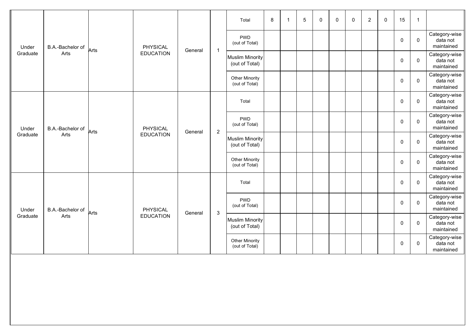|                   |                  |      |                  |         |                | Total                                    | 8 | 5 | $\mathbf 0$ | $\mathbf 0$ | $\mathbf 0$ | $\overline{2}$ | $\mathbf 0$ | 15          | $\overline{1}$ |                                         |
|-------------------|------------------|------|------------------|---------|----------------|------------------------------------------|---|---|-------------|-------------|-------------|----------------|-------------|-------------|----------------|-----------------------------------------|
| Under             | B.A.-Bachelor of | Arts | <b>PHYSICAL</b>  | General | $\mathbf{1}$   | <b>PWD</b><br>(out of Total)             |   |   |             |             |             |                |             | $\mathbf 0$ | $\mathbf 0$    | Category-wise<br>data not<br>maintained |
| Graduate          | Arts             |      | <b>EDUCATION</b> |         |                | <b>Muslim Minority</b><br>(out of Total) |   |   |             |             |             |                |             | 0           | $\mathbf 0$    | Category-wise<br>data not<br>maintained |
|                   |                  |      |                  |         |                | Other Minority<br>(out of Total)         |   |   |             |             |             |                |             | $\mathbf 0$ | $\mathbf 0$    | Category-wise<br>data not<br>maintained |
|                   |                  |      |                  |         |                | Total                                    |   |   |             |             |             |                |             | $\mathbf 0$ | $\mathbf 0$    | Category-wise<br>data not<br>maintained |
| Under<br>Graduate | B.A.-Bachelor of | Arts | PHYSICAL         | General | $\overline{2}$ | <b>PWD</b><br>(out of Total)             |   |   |             |             |             |                |             | $\mathbf 0$ | $\mathbf 0$    | Category-wise<br>data not<br>maintained |
|                   | Arts             |      | <b>EDUCATION</b> |         |                | <b>Muslim Minority</b><br>(out of Total) |   |   |             |             |             |                |             | $\mathbf 0$ | $\mathbf 0$    | Category-wise<br>data not<br>maintained |
|                   |                  |      |                  |         |                | Other Minority<br>(out of Total)         |   |   |             |             |             |                |             | 0           | $\mathbf 0$    | Category-wise<br>data not<br>maintained |
|                   |                  |      |                  |         |                | Total                                    |   |   |             |             |             |                |             | $\mathbf 0$ | $\mathbf 0$    | Category-wise<br>data not<br>maintained |
| Under             | B.A.-Bachelor of | Arts | PHYSICAL         | General | $\sqrt{3}$     | <b>PWD</b><br>(out of Total)             |   |   |             |             |             |                |             | $\mathbf 0$ | $\mathbf 0$    | Category-wise<br>data not<br>maintained |
| Graduate          | Arts             |      | <b>EDUCATION</b> |         |                | <b>Muslim Minority</b><br>(out of Total) |   |   |             |             |             |                |             | 0           | $\mathbf 0$    | Category-wise<br>data not<br>maintained |
|                   |                  |      |                  |         |                | <b>Other Minority</b><br>(out of Total)  |   |   |             |             |             |                |             | 0           | 0              | Category-wise<br>data not<br>maintained |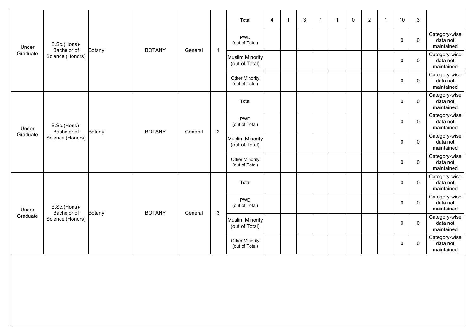|                   |                             |               |               |         |                | Total                                    | 4 | $\mathbf{3}$ | $\mathbf{1}$ | $\overline{1}$ | 0 | $\overline{2}$ | -1 | 10          | $\mathbf{3}$ |                                         |
|-------------------|-----------------------------|---------------|---------------|---------|----------------|------------------------------------------|---|--------------|--------------|----------------|---|----------------|----|-------------|--------------|-----------------------------------------|
| Under             | B.Sc.(Hons)-<br>Bachelor of |               | <b>BOTANY</b> | General | $\mathbf{1}$   | <b>PWD</b><br>(out of Total)             |   |              |              |                |   |                |    | $\mathbf 0$ | $\mathbf 0$  | Category-wise<br>data not<br>maintained |
| Graduate          | Science (Honors)            | <b>Botany</b> |               |         |                | <b>Muslim Minority</b><br>(out of Total) |   |              |              |                |   |                |    | $\pmb{0}$   | $\mathbf 0$  | Category-wise<br>data not<br>maintained |
|                   |                             |               |               |         |                | Other Minority<br>(out of Total)         |   |              |              |                |   |                |    | 0           | $\mathbf 0$  | Category-wise<br>data not<br>maintained |
|                   |                             |               |               |         |                | Total                                    |   |              |              |                |   |                |    | $\mathbf 0$ | $\mathbf 0$  | Category-wise<br>data not<br>maintained |
| Under<br>Graduate | B.Sc.(Hons)-<br>Bachelor of | Botany        | <b>BOTANY</b> | General | $\overline{2}$ | <b>PWD</b><br>(out of Total)             |   |              |              |                |   |                |    | $\mathbf 0$ | $\mathbf 0$  | Category-wise<br>data not<br>maintained |
|                   | Science (Honors)            |               |               |         |                | <b>Muslim Minority</b><br>(out of Total) |   |              |              |                |   |                |    | $\mathbf 0$ | $\mathbf 0$  | Category-wise<br>data not<br>maintained |
|                   |                             |               |               |         |                | <b>Other Minority</b><br>(out of Total)  |   |              |              |                |   |                |    | 0           | $\mathbf 0$  | Category-wise<br>data not<br>maintained |
|                   |                             |               |               |         |                | Total                                    |   |              |              |                |   |                |    | $\mathbf 0$ | $\mathbf 0$  | Category-wise<br>data not<br>maintained |
| Under             | B.Sc.(Hons)-<br>Bachelor of | Botany        | <b>BOTANY</b> | General | $\sqrt{3}$     | <b>PWD</b><br>(out of Total)             |   |              |              |                |   |                |    | $\mathbf 0$ | $\mathbf 0$  | Category-wise<br>data not<br>maintained |
| Graduate          | Science (Honors)            |               |               |         |                | <b>Muslim Minority</b><br>(out of Total) |   |              |              |                |   |                |    | 0           | $\mathbf{0}$ | Category-wise<br>data not<br>maintained |
|                   |                             |               |               |         |                | <b>Other Minority</b><br>(out of Total)  |   |              |              |                |   |                |    | 0           | $\mathbf 0$  | Category-wise<br>data not<br>maintained |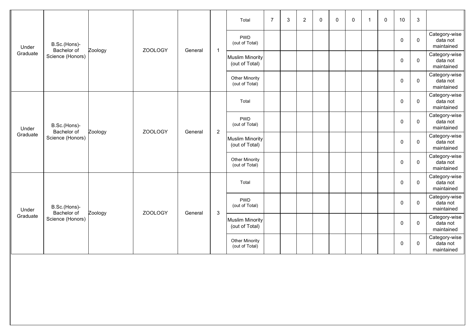|                   |                             |         |                |         |                | Total                                    | $\overline{7}$ | 3 | $\overline{2}$ | 0 | 0 | 0 | $\mathbf{1}$ | $\mathbf{0}$ | 10          | $\mathbf{3}$ |                                         |
|-------------------|-----------------------------|---------|----------------|---------|----------------|------------------------------------------|----------------|---|----------------|---|---|---|--------------|--------------|-------------|--------------|-----------------------------------------|
| Under             | B.Sc.(Hons)-<br>Bachelor of |         | <b>ZOOLOGY</b> |         |                | <b>PWD</b><br>(out of Total)             |                |   |                |   |   |   |              |              | $\mathbf 0$ | $\mathbf 0$  | Category-wise<br>data not<br>maintained |
| Graduate          | Science (Honors)            | Zoology |                | General | $\mathbf{1}$   | <b>Muslim Minority</b><br>(out of Total) |                |   |                |   |   |   |              |              | 0           | $\mathbf 0$  | Category-wise<br>data not<br>maintained |
|                   |                             |         |                |         |                | Other Minority<br>(out of Total)         |                |   |                |   |   |   |              |              | 0           | $\mathbf 0$  | Category-wise<br>data not<br>maintained |
|                   |                             |         |                |         |                | Total                                    |                |   |                |   |   |   |              |              | $\mathbf 0$ | $\mathbf 0$  | Category-wise<br>data not<br>maintained |
| Under<br>Graduate | B.Sc.(Hons)-<br>Bachelor of | Zoology | <b>ZOOLOGY</b> | General | $\overline{2}$ | <b>PWD</b><br>(out of Total)             |                |   |                |   |   |   |              |              | $\mathbf 0$ | $\mathbf 0$  | Category-wise<br>data not<br>maintained |
|                   | Science (Honors)            |         |                |         |                | <b>Muslim Minority</b><br>(out of Total) |                |   |                |   |   |   |              |              | $\mathbf 0$ | $\mathbf 0$  | Category-wise<br>data not<br>maintained |
|                   |                             |         |                |         |                | <b>Other Minority</b><br>(out of Total)  |                |   |                |   |   |   |              |              | 0           | $\mathbf 0$  | Category-wise<br>data not<br>maintained |
|                   |                             |         |                |         |                | Total                                    |                |   |                |   |   |   |              |              | $\mathbf 0$ | $\mathbf 0$  | Category-wise<br>data not<br>maintained |
| Under             | B.Sc.(Hons)-<br>Bachelor of | Zoology | ZOOLOGY        | General | $\sqrt{3}$     | <b>PWD</b><br>(out of Total)             |                |   |                |   |   |   |              |              | $\mathbf 0$ | $\mathbf 0$  | Category-wise<br>data not<br>maintained |
| Graduate          | Science (Honors)            |         |                |         |                | <b>Muslim Minority</b><br>(out of Total) |                |   |                |   |   |   |              |              | 0           | $\mathbf{0}$ | Category-wise<br>data not<br>maintained |
|                   |                             |         |                |         |                | <b>Other Minority</b><br>(out of Total)  |                |   |                |   |   |   |              |              | 0           | $\mathbf 0$  | Category-wise<br>data not<br>maintained |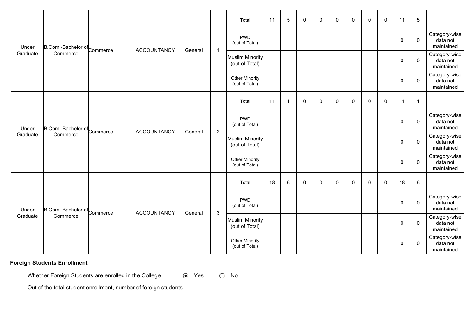|                   |                             |                    |         |                | Total                                    | 11 | 5              | $\mathbf 0$ | $\mathbf 0$ | $\mathbf{0}$ | $\mathbf{0}$ | $\mathbf 0$ | $\mathbf{0}$ | 11          | $5\phantom{.0}$ |                                         |
|-------------------|-----------------------------|--------------------|---------|----------------|------------------------------------------|----|----------------|-------------|-------------|--------------|--------------|-------------|--------------|-------------|-----------------|-----------------------------------------|
| Under             | B.Com.-Bachelor of Commerce | <b>ACCOUNTANCY</b> |         |                | <b>PWD</b><br>(out of Total)             |    |                |             |             |              |              |             |              | $\mathbf 0$ | 0               | Category-wise<br>data not<br>maintained |
| Graduate          | Commerce                    |                    | General | $\mathbf{1}$   | Muslim Minority<br>(out of Total)        |    |                |             |             |              |              |             |              | $\mathbf 0$ | $\mathbf 0$     | Category-wise<br>data not<br>maintained |
|                   |                             |                    |         |                | <b>Other Minority</b><br>(out of Total)  |    |                |             |             |              |              |             |              | $\mathbf 0$ | $\mathbf 0$     | Category-wise<br>data not<br>maintained |
|                   |                             |                    |         |                | Total                                    | 11 | $\overline{1}$ | $\mathbf 0$ | $\mathbf 0$ | 0            | $\mathbf 0$  | $\mathbf 0$ | 0            | 11          | $\mathbf{1}$    |                                         |
| Under<br>Graduate | B.Com.-Bachelor of Commerce | <b>ACCOUNTANCY</b> | General | $\overline{2}$ | <b>PWD</b><br>(out of Total)             |    |                |             |             |              |              |             |              | 0           | $\mathbf 0$     | Category-wise<br>data not<br>maintained |
|                   | Commerce                    |                    |         |                | <b>Muslim Minority</b><br>(out of Total) |    |                |             |             |              |              |             |              | 0           | $\mathsf 0$     | Category-wise<br>data not<br>maintained |
|                   |                             |                    |         |                | <b>Other Minority</b><br>(out of Total)  |    |                |             |             |              |              |             |              | $\mathbf 0$ | $\mathbf 0$     | Category-wise<br>data not<br>maintained |
|                   |                             |                    |         |                | Total                                    | 18 | 6              | $\mathbf 0$ | 0           | $\mathbf{0}$ | $\mathbf 0$  | 0           | 0            | 18          | 6               |                                         |
| Under             | B.Com.-Bachelor of Commerce | <b>ACCOUNTANCY</b> | General | $\mathbf{3}$   | <b>PWD</b><br>(out of Total)             |    |                |             |             |              |              |             |              | $\mathbf 0$ | $\mathbf 0$     | Category-wise<br>data not<br>maintained |
| Graduate          | Commerce                    |                    |         |                | <b>Muslim Minority</b><br>(out of Total) |    |                |             |             |              |              |             |              | $\mathbf 0$ | $\mathbf 0$     | Category-wise<br>data not<br>maintained |
|                   |                             |                    |         |                | <b>Other Minority</b><br>(out of Total)  |    |                |             |             |              |              |             |              | 0           | 0               | Category-wise<br>data not<br>maintained |

## **Foreign Students Enrollment**

Whether Foreign Students are enrolled in the College  $\qquad \qquad \bullet \quad$  Yes  $\qquad \circ \quad$  No

Out of the total student enrollment, number of foreign students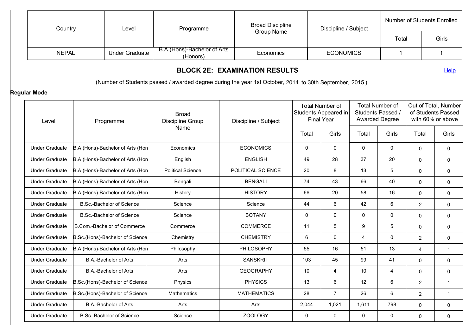| Country               |                                                                                                            | Level                             | Programme                                                                                              | <b>Broad Discipline</b>              |             | Discipline / Subject                                                |                                                                      |             | <b>Number of Students Enrolled</b> |                                                                 |
|-----------------------|------------------------------------------------------------------------------------------------------------|-----------------------------------|--------------------------------------------------------------------------------------------------------|--------------------------------------|-------------|---------------------------------------------------------------------|----------------------------------------------------------------------|-------------|------------------------------------|-----------------------------------------------------------------|
|                       |                                                                                                            |                                   |                                                                                                        | Group Name                           |             |                                                                     |                                                                      | Total       |                                    | Girls                                                           |
| <b>NEPAL</b>          |                                                                                                            | <b>Under Graduate</b>             | B.A. (Hons)-Bachelor of Arts<br>(Honors)                                                               | Economics                            |             | <b>ECONOMICS</b>                                                    |                                                                      | $\mathbf 1$ |                                    | $\mathbf{1}$                                                    |
|                       |                                                                                                            |                                   |                                                                                                        | <b>BLOCK 2E: EXAMINATION RESULTS</b> |             |                                                                     |                                                                      |             |                                    | Help                                                            |
|                       |                                                                                                            |                                   | (Number of Students passed / awarded degree during the year 1st October, 2014 to 30th September, 2015) |                                      |             |                                                                     |                                                                      |             |                                    |                                                                 |
| Regular Mode          |                                                                                                            |                                   |                                                                                                        |                                      |             |                                                                     |                                                                      |             |                                    |                                                                 |
| Level                 |                                                                                                            | Programme                         | <b>Broad</b><br>Discipline Group                                                                       | Discipline / Subject                 |             | <b>Total Number of</b><br>Students Appeared in<br><b>Final Year</b> | <b>Total Number of</b><br>Students Passed /<br><b>Awarded Degree</b> |             |                                    | Out of Total, Number<br>of Students Passed<br>with 60% or above |
|                       |                                                                                                            |                                   | Name                                                                                                   |                                      | Total       | Girls                                                               | Total                                                                | Girls       | Total                              | Girls                                                           |
| <b>Under Graduate</b> |                                                                                                            |                                   | Economics                                                                                              | <b>ECONOMICS</b>                     | $\mathbf 0$ | $\mathbf 0$                                                         | 0                                                                    | 0           | 0                                  | $\mathbf 0$                                                     |
| <b>Under Graduate</b> |                                                                                                            |                                   | English                                                                                                | <b>ENGLISH</b>                       | 49          | 28                                                                  | 37                                                                   | 20          | $\mathbf{0}$                       | $\mathbf 0$                                                     |
| <b>Under Graduate</b> | B.A.(Hons)-Bachelor of Arts (Hon<br>B.A. (Hons)-Bachelor of Arts (Hon<br>B.A. (Hons)-Bachelor of Arts (Hon |                                   | <b>Political Science</b>                                                                               | POLITICAL SCIENCE                    | 20          | 8                                                                   | 13                                                                   | 5           | $\mathbf{0}$                       | $\mathbf 0$                                                     |
| <b>Under Graduate</b> |                                                                                                            | B.A. (Hons)-Bachelor of Arts (Hon | Bengali                                                                                                | <b>BENGALI</b>                       | 74          | 43                                                                  | 66                                                                   | 40          | $\mathbf{0}$                       | $\mathbf 0$                                                     |
| <b>Under Graduate</b> |                                                                                                            | B.A. (Hons)-Bachelor of Arts (Hon | History                                                                                                | <b>HISTORY</b>                       | 66          | 20                                                                  | 58                                                                   | 16          | $\mathbf 0$                        | 0                                                               |
| <b>Under Graduate</b> |                                                                                                            | B.Sc.-Bachelor of Science         | Science                                                                                                | Science                              | 44          | 6                                                                   | 42                                                                   | 6           | 2                                  | $\mathbf 0$                                                     |
| <b>Under Graduate</b> |                                                                                                            | B.Sc.-Bachelor of Science         | Science                                                                                                | <b>BOTANY</b>                        | $\mathbf 0$ | $\mathbf 0$                                                         | 0                                                                    | 0           | $\mathbf{0}$                       | $\mathbf 0$                                                     |
| <b>Under Graduate</b> |                                                                                                            | B.Com.-Bachelor of Commerce       | Commerce                                                                                               | <b>COMMERCE</b>                      | 11          | 5                                                                   | 9                                                                    | 5           | $\mathbf 0$                        | 0                                                               |
| <b>Under Graduate</b> |                                                                                                            | B.Sc.(Hons)-Bachelor of Science   | Chemistry                                                                                              | <b>CHEMISTRY</b>                     | 6           | $\mathbf 0$                                                         | 4                                                                    | 0           | $\overline{2}$                     | $\mathbf 0$                                                     |
| <b>Under Graduate</b> |                                                                                                            | B.A. (Hons)-Bachelor of Arts (Hon | Philosophy                                                                                             | <b>PHILOSOPHY</b>                    | 55          | 16                                                                  | 51                                                                   | 13          | 4                                  | $\mathbf{1}$                                                    |
| <b>Under Graduate</b> |                                                                                                            | <b>B.A.-Bachelor of Arts</b>      | Arts                                                                                                   | <b>SANSKRIT</b>                      | 103         | 45                                                                  | 99                                                                   | 41          | 0                                  | 0                                                               |
| <b>Under Graduate</b> |                                                                                                            | B.A.-Bachelor of Arts             | Arts                                                                                                   | <b>GEOGRAPHY</b>                     | 10          | $\overline{4}$                                                      | 10                                                                   | 4           | $\mathbf 0$                        | 0                                                               |
| <b>Under Graduate</b> |                                                                                                            | B.Sc.(Hons)-Bachelor of Science   | Physics                                                                                                | <b>PHYSICS</b>                       | 13          | 6                                                                   | 12                                                                   | 6           | $\overline{2}$                     | $\mathbf{1}$                                                    |
| <b>Under Graduate</b> |                                                                                                            | B.Sc.(Hons)-Bachelor of Science   | Mathematics                                                                                            | <b>MATHEMATICS</b>                   | 28          | $\overline{7}$                                                      | 26                                                                   | 6           | $\overline{2}$                     | $\mathbf{1}$                                                    |
| <b>Under Graduate</b> |                                                                                                            | B.A.-Bachelor of Arts             | Arts                                                                                                   | Arts                                 | 2,044       | 1,021                                                               | 1,611                                                                | 798         | 0                                  | $\mathbf 0$                                                     |
| <b>Under Graduate</b> |                                                                                                            | <b>B.Sc.-Bachelor of Science</b>  | Science                                                                                                | ZOOLOGY                              | $\mathbf 0$ | $\mathsf 0$                                                         | $\mathsf{O}\xspace$                                                  | $\mathbf 0$ | 0                                  | 0                                                               |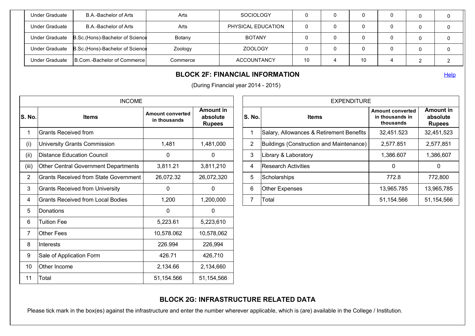|                |                                      |          | <b>BLOCK 2F: FINANCIAL INFORMATION</b> |    |   |    |   |   | Help |
|----------------|--------------------------------------|----------|----------------------------------------|----|---|----|---|---|------|
| Under Graduate | <b>IB.Com.-Bachelor of Commercel</b> | Commerce | <b>ACCOUNTANCY</b>                     | 10 |   | 10 |   | ⌒ |      |
| Under Graduate | B.Sc. (Hons)-Bachelor of Science     | Zoology  | ZOOLOGY                                | 0  |   |    |   |   |      |
| Under Graduate | B.Sc.(Hons)-Bachelor of Science      | Botany   | <b>BOTANY</b>                          | 0  | υ |    | 0 |   |      |
| Under Graduate | B.A.-Bachelor of Arts                | Arts     | PHYSICAL EDUCATION                     | 0  | υ |    |   |   |      |
| Under Graduate | B.A.-Bachelor of Arts                | Arts     | <b>SOCIOLOGY</b>                       | 0  | υ |    | 0 |   |      |

|                | <b>INCOME</b>                               |                                         |                                               |
|----------------|---------------------------------------------|-----------------------------------------|-----------------------------------------------|
| S. No.         | <b>Items</b>                                | <b>Amount converted</b><br>in thousands | <b>Amount in</b><br>absolute<br><b>Rupees</b> |
| 1              | Grants Received from                        |                                         |                                               |
| (i)            | University Grants Commission                | 1,481                                   | 1,481,000                                     |
| (ii)           | <b>Distance Education Council</b>           | $\Omega$                                | $\Omega$                                      |
| (iii)          | <b>Other Central Government Departments</b> | 3,811.21                                | 3,811,210                                     |
| $\overline{2}$ | Grants Received from State Government       | 26,072.32                               | 26,072,320                                    |
| 3              | <b>Grants Received from University</b>      | 0                                       | 0                                             |
| 4              | Grants Received from Local Bodies           | 1,200                                   | 1,200,000                                     |
| 5              | Donations                                   | 0                                       | 0                                             |
| 6              | <b>Tuition Fee</b>                          | 5,223.61                                | 5,223,610                                     |
| $\overline{7}$ | <b>Other Fees</b>                           | 10,578.062                              | 10,578,062                                    |
| 8              | Interests                                   | 226.994                                 | 226,994                                       |
| 9              | Sale of Application Form                    | 426.71                                  | 426,710                                       |
| 10             | Other Income                                | 2,134.66                                | 2,134,660                                     |
| 11             | Total                                       | 51,154.566                              | 51,154,566                                    |

| <b>EXPENDITURE</b> |                                          |                                                         |                                               |  |  |  |  |  |  |  |
|--------------------|------------------------------------------|---------------------------------------------------------|-----------------------------------------------|--|--|--|--|--|--|--|
| S. No.             | <b>Items</b>                             | <b>Amount converted</b><br>in thousands in<br>thousands | <b>Amount in</b><br>absolute<br><b>Rupees</b> |  |  |  |  |  |  |  |
| 1                  | Salary, Allowances & Retirement Benefits | 32,451.523                                              | 32,451,523                                    |  |  |  |  |  |  |  |
| 2                  | Buildings (Construction and Maintenance) | 2,577.851                                               | 2,577,851                                     |  |  |  |  |  |  |  |
| 3                  | Library & Laboratory                     | 1,386.607                                               | 1,386,607                                     |  |  |  |  |  |  |  |
| $\overline{4}$     | <b>Research Activities</b>               | 0                                                       | 0                                             |  |  |  |  |  |  |  |
| 5                  | Scholarships                             | 772.8                                                   | 772,800                                       |  |  |  |  |  |  |  |
| 6                  | <b>Other Expenses</b>                    | 13,965.785                                              | 13,965,785                                    |  |  |  |  |  |  |  |
| 7                  | Total                                    | 51,154.566                                              | 51,154,566                                    |  |  |  |  |  |  |  |

# **BLOCK 2G: INFRASTRUCTURE RELATED DATA**

Please tick mark in the box(es) against the infrastructure and enter the number wherever applicable, which is (are) available in the College / Institution.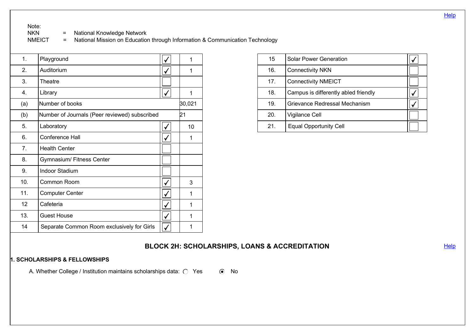# Note:<br>NKN

NKN = National Knowledge Network<br>NMEICT = National Mission on Education

National Mission on Education through Information & Communication Technology

| 1.             | Playground                                    | 1      |
|----------------|-----------------------------------------------|--------|
| 2.             | Auditorium                                    | 1      |
| 3.             | Theatre                                       |        |
| 4.             | Library                                       | 1      |
| (a)            | Number of books                               | 30,021 |
| (b)            | Number of Journals (Peer reviewed) subscribed | 21     |
| 5.             | Laboratory                                    | 10     |
| 6.             | <b>Conference Hall</b>                        | 1      |
| 7 <sub>1</sub> | <b>Health Center</b>                          |        |
| 8.             | Gymnasium/ Fitness Center                     |        |
| 9.             | <b>Indoor Stadium</b>                         |        |
| 10.            | Common Room                                   | 3      |
| 11.            | <b>Computer Center</b>                        | 1      |
| 12             | Cafeteria                                     | 1      |
| 13.            | <b>Guest House</b>                            | 1      |
| 14             | Separate Common Room exclusively for Girls    |        |
|                |                                               |        |

| 15              | <b>Solar Power Generation</b>        |  |
|-----------------|--------------------------------------|--|
| 16.             | <b>Connectivity NKN</b>              |  |
| 17 <sub>1</sub> | <b>Connectivity NMEICT</b>           |  |
| 18.             | Campus is differently abled friendly |  |
| 19.             | Grievance Redressal Mechanism        |  |
| 20.             | Vigilance Cell                       |  |
| 21.             | <b>Equal Opportunity Cell</b>        |  |

## **BLOCK 2H: SCHOLARSHIPS, LOANS & ACCREDITATION** ELOCK 2H: SCHOLARSHIPS, LOANS & ACCREDITATION

#### **1. SCHOLARSHIPS & FELLOWSHIPS**

A. Whether College / Institution maintains scholarships data:  $\bigcirc$  Yes  $\circ$  No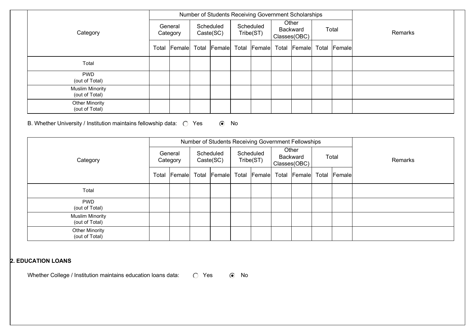|                                          |                     |        |       | Number of Students Receiving Government Scholarships |  |                        |       |                                   |       |              |         |
|------------------------------------------|---------------------|--------|-------|------------------------------------------------------|--|------------------------|-------|-----------------------------------|-------|--------------|---------|
| Category                                 | General<br>Category |        |       | Scheduled<br>$\text{Caste}(\text{SC})$               |  | Scheduled<br>Tribe(ST) |       | Other<br>Backward<br>Classes(OBC) | Total |              | Remarks |
|                                          | Total               | Female | Total | <b>Female</b>                                        |  | Total Female           | Total | <b>Female</b>                     |       | Total Female |         |
| Total                                    |                     |        |       |                                                      |  |                        |       |                                   |       |              |         |
| <b>PWD</b><br>(out of Total)             |                     |        |       |                                                      |  |                        |       |                                   |       |              |         |
| <b>Muslim Minority</b><br>(out of Total) |                     |        |       |                                                      |  |                        |       |                                   |       |              |         |
| <b>Other Minority</b><br>(out of Total)  |                     |        |       |                                                      |  |                        |       |                                   |       |              |         |

## B. Whether University / Institution maintains fellowship data:  $\bigcirc$  Yes  $\bigcirc$  No

|                                          |                     |       | Number of Students Receiving Government Fellowships |                           |                                   |  |  |              |       |  |         |  |
|------------------------------------------|---------------------|-------|-----------------------------------------------------|---------------------------|-----------------------------------|--|--|--------------|-------|--|---------|--|
| Category                                 | General<br>Category |       | Scheduled<br>Caste(SC)                              | Scheduled<br>Tribe(ST)    | Other<br>Backward<br>Classes(OBC) |  |  |              | Total |  | Remarks |  |
|                                          | Total Female        | Total | Female                                              | Total Female Total Female |                                   |  |  | Total Female |       |  |         |  |
| Total                                    |                     |       |                                                     |                           |                                   |  |  |              |       |  |         |  |
| <b>PWD</b><br>(out of Total)             |                     |       |                                                     |                           |                                   |  |  |              |       |  |         |  |
| <b>Muslim Minority</b><br>(out of Total) |                     |       |                                                     |                           |                                   |  |  |              |       |  |         |  |
| <b>Other Minority</b><br>(out of Total)  |                     |       |                                                     |                           |                                   |  |  |              |       |  |         |  |

### **2. EDUCATION LOANS**

Whether College / Institution maintains education loans data:  $\bigcirc$  Yes  $\circ$  No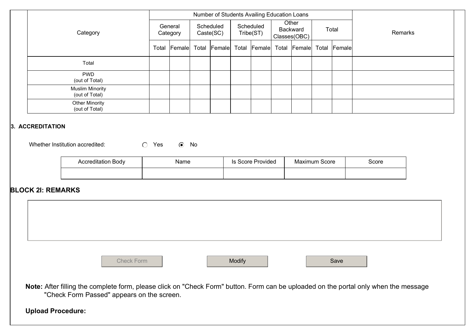|                                                                |                     | Number of Students Availing Education Loans |                        |        |                        |                   |                                   |        |               |              |         |
|----------------------------------------------------------------|---------------------|---------------------------------------------|------------------------|--------|------------------------|-------------------|-----------------------------------|--------|---------------|--------------|---------|
| Category                                                       | General<br>Category |                                             | Scheduled<br>Caste(SC) |        | Scheduled<br>Tribe(ST) |                   | Other<br>Backward<br>Classes(OBC) |        | Total         |              | Remarks |
|                                                                |                     | Total Female                                | Total                  | Female |                        | Total Female      | Total                             | Female |               | Total Female |         |
| Total                                                          |                     |                                             |                        |        |                        |                   |                                   |        |               |              |         |
| <b>PWD</b><br>(out of Total)                                   |                     |                                             |                        |        |                        |                   |                                   |        |               |              |         |
| <b>Muslim Minority</b><br>(out of Total)                       |                     |                                             |                        |        |                        |                   |                                   |        |               |              |         |
| <b>Other Minority</b><br>(out of Total)                        |                     |                                             |                        |        |                        |                   |                                   |        |               |              |         |
| 3. ACCREDITATION<br>$\circ$<br>Whether Institution accredited: | Yes                 | $\odot$ No                                  |                        |        |                        |                   |                                   |        |               |              |         |
| <b>Accreditation Body</b>                                      |                     | Name                                        |                        |        |                        | Is Score Provided |                                   |        | Maximum Score |              | Score   |
|                                                                |                     |                                             |                        |        |                        |                   |                                   |        |               |              |         |

## **BLOCK 2I: REMARKS**



**Note:** After filling the complete form, please click on "Check Form" button. Form can be uploaded on the portal only when the message "Check Form Passed" appears on the screen.

**Upload Procedure:**